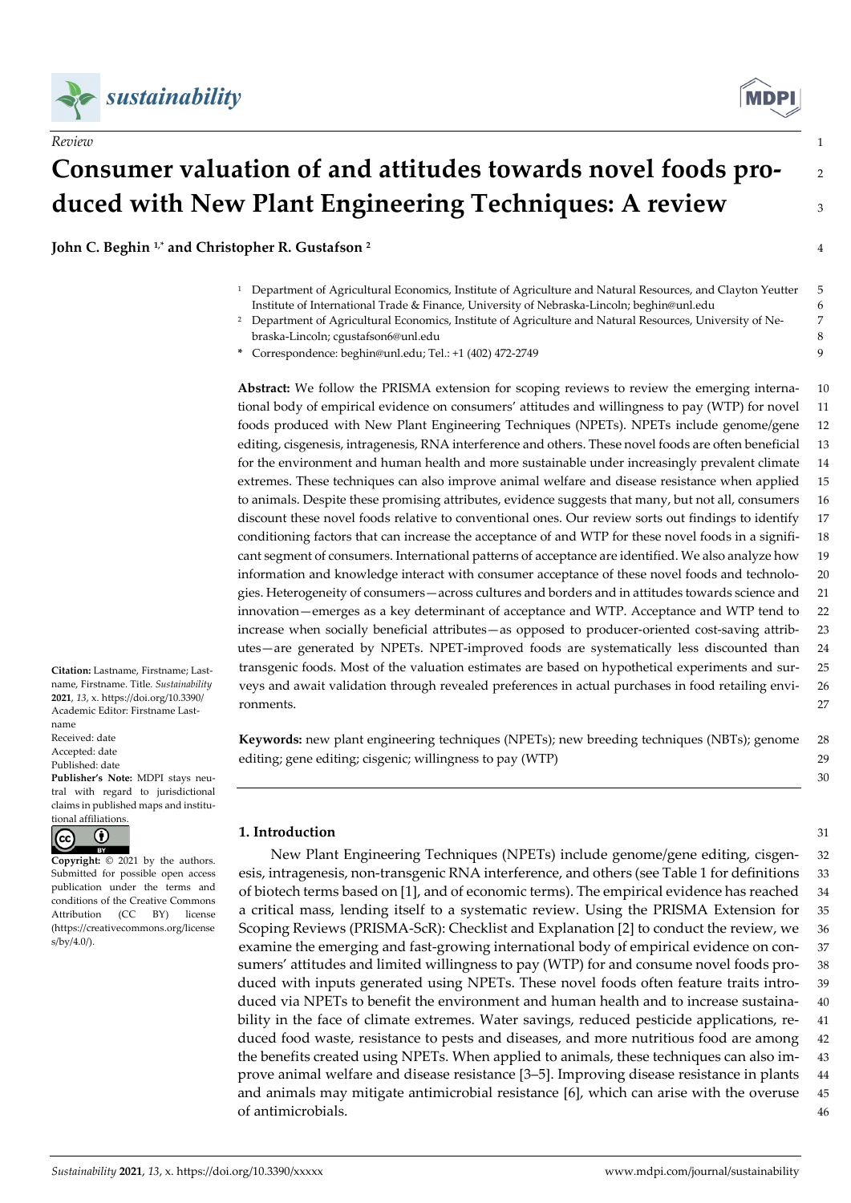



# **Consumer valuation of and attitudes towards novel foods pro-** <sup>2</sup> **duced with New Plant Engineering Techniques: A review** <sup>3</sup>

**John C. Beghin 1,\* and Christopher R. Gustafson <sup>2</sup>** 4

- <sup>1</sup> Department of Agricultural Economics, Institute of Agriculture and Natural Resources, and Clayton Yeutter 5 Institute of International Trade & Finance, University of Nebraska-Lincoln; beghin@unl.edu 6
- <sup>2</sup> Department of Agricultural Economics, Institute of Agriculture and Natural Resources, University of Ne- 7 braska-Lincoln; cgustafson6@unl.edu 8
- **\*** Correspondence: beghin@unl.edu; Tel.: +1 (402) 472-2749 9

**Abstract:** We follow the PRISMA extension for scoping reviews to review the emerging interna- 10 tional body of empirical evidence on consumers' attitudes and willingness to pay (WTP) for novel 11 foods produced with New Plant Engineering Techniques (NPETs). NPETs include genome/gene 12 editing, cisgenesis, intragenesis, RNA interference and others. These novel foods are often beneficial 13 for the environment and human health and more sustainable under increasingly prevalent climate 14 extremes. These techniques can also improve animal welfare and disease resistance when applied 15 to animals. Despite these promising attributes, evidence suggests that many, but not all, consumers 16 discount these novel foods relative to conventional ones. Our review sorts out findings to identify 17 conditioning factors that can increase the acceptance of and WTP for these novel foods in a signifi- 18 cant segment of consumers. International patterns of acceptance are identified. We also analyze how 19 information and knowledge interact with consumer acceptance of these novel foods and technolo- 20 gies. Heterogeneity of consumers—across cultures and borders and in attitudes towards science and 21 innovation—emerges as a key determinant of acceptance and WTP. Acceptance and WTP tend to 22 increase when socially beneficial attributes—as opposed to producer-oriented cost-saving attrib- 23 utes—are generated by NPETs. NPET-improved foods are systematically less discounted than 24 transgenic foods. Most of the valuation estimates are based on hypothetical experiments and sur- 25 veys and await validation through revealed preferences in actual purchases in food retailing envi- 26 **ronments.** 27

**Keywords:** new plant engineering techniques (NPETs); new breeding techniques (NBTs); genome 28 editing; gene editing; cisgenic; willingness to pay (WTP) 29

tral with regard to jurisdictional claims in published maps and institutional affiliations.

**Citation:** Lastname, Firstname; Lastname, Firstname. Title. *Sustainability*  **2021**, *13*, x. https://doi.org/10.3390/ Academic Editor: Firstname Last-

**Publisher's Note:** MDPI stays neu-



name Received: date Accepted: date Published: date

**Copyright:** © 2021 by the authors. Submitted for possible open access publication under the terms and conditions of the Creative Commons Attribution (CC BY) license (https://creativecommons.org/license s/by/4.0/).

**1. Introduction** 31

30

New Plant Engineering Techniques (NPETs) include genome/gene editing, cisgen- 32 esis, intragenesis, non-transgenic RNA interference, and others (see Table 1 for definitions 33 of biotech terms based on [1], and of economic terms). The empirical evidence has reached 34 a critical mass, lending itself to a systematic review. Using the PRISMA Extension for 35 Scoping Reviews (PRISMA-ScR): Checklist and Explanation [2] to conduct the review, we 36 examine the emerging and fast-growing international body of empirical evidence on con- 37 sumers' attitudes and limited willingness to pay (WTP) for and consume novel foods pro- 38 duced with inputs generated using NPETs. These novel foods often feature traits intro- 39 duced via NPETs to benefit the environment and human health and to increase sustaina- 40 bility in the face of climate extremes. Water savings, reduced pesticide applications, re- 41 duced food waste, resistance to pests and diseases, and more nutritious food are among 42 the benefits created using NPETs. When applied to animals, these techniques can also im- 43 prove animal welfare and disease resistance [3–5]. Improving disease resistance in plants 44 and animals may mitigate antimicrobial resistance [6], which can arise with the overuse 45 of antimicrobials. 46

**MDF**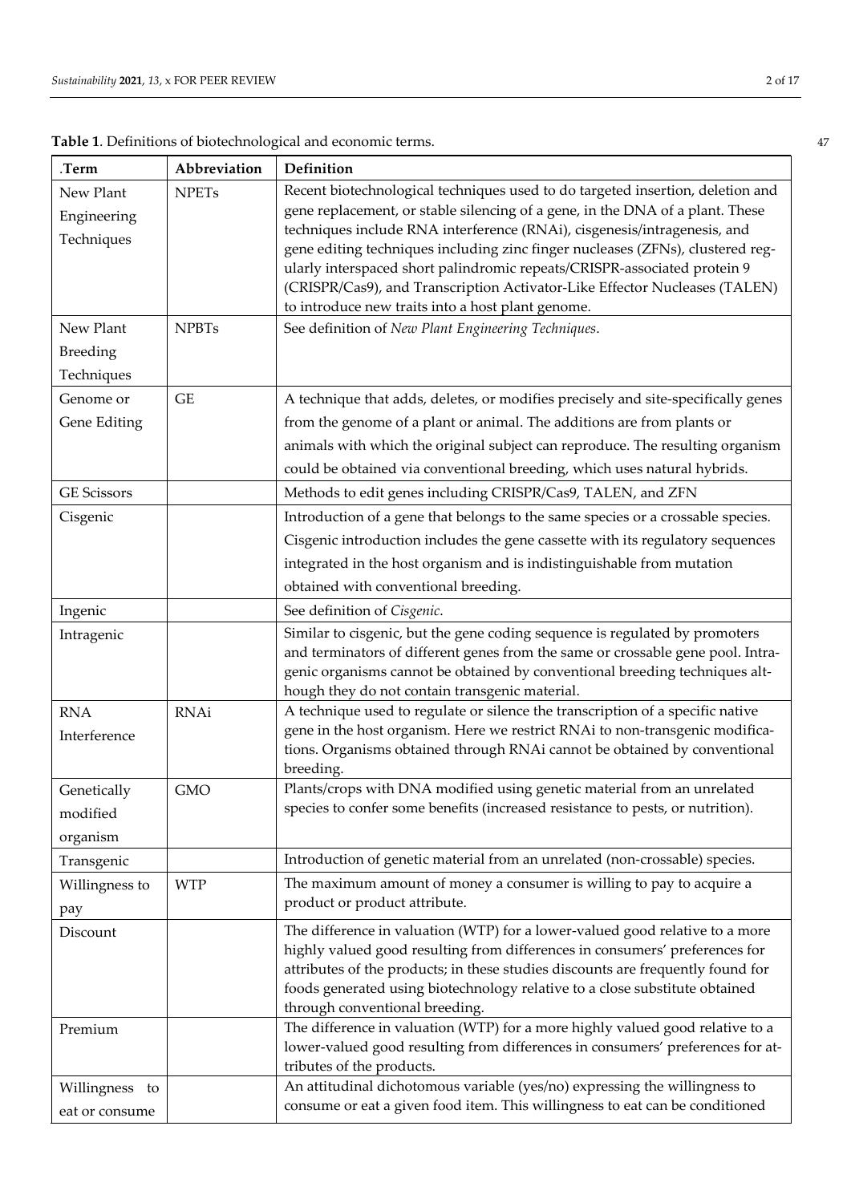| .Term                                  | Abbreviation  | Definition                                                                                                                                                                                                                                                                                                                                                                                                                                                                                                                                   |
|----------------------------------------|---------------|----------------------------------------------------------------------------------------------------------------------------------------------------------------------------------------------------------------------------------------------------------------------------------------------------------------------------------------------------------------------------------------------------------------------------------------------------------------------------------------------------------------------------------------------|
| New Plant<br>Engineering<br>Techniques | <b>NPETs</b>  | Recent biotechnological techniques used to do targeted insertion, deletion and<br>gene replacement, or stable silencing of a gene, in the DNA of a plant. These<br>techniques include RNA interference (RNAi), cisgenesis/intragenesis, and<br>gene editing techniques including zinc finger nucleases (ZFNs), clustered reg-<br>ularly interspaced short palindromic repeats/CRISPR-associated protein 9<br>(CRISPR/Cas9), and Transcription Activator-Like Effector Nucleases (TALEN)<br>to introduce new traits into a host plant genome. |
| New Plant<br>Breeding<br>Techniques    | <b>NPBTs</b>  | See definition of New Plant Engineering Techniques.                                                                                                                                                                                                                                                                                                                                                                                                                                                                                          |
| Genome or<br>Gene Editing              | $\mathsf{GE}$ | A technique that adds, deletes, or modifies precisely and site-specifically genes<br>from the genome of a plant or animal. The additions are from plants or<br>animals with which the original subject can reproduce. The resulting organism<br>could be obtained via conventional breeding, which uses natural hybrids.                                                                                                                                                                                                                     |
| <b>GE Scissors</b><br>Cisgenic         |               | Methods to edit genes including CRISPR/Cas9, TALEN, and ZFN<br>Introduction of a gene that belongs to the same species or a crossable species.<br>Cisgenic introduction includes the gene cassette with its regulatory sequences<br>integrated in the host organism and is indistinguishable from mutation<br>obtained with conventional breeding.                                                                                                                                                                                           |
| Ingenic<br>Intragenic                  |               | See definition of Cisgenic.<br>Similar to cisgenic, but the gene coding sequence is regulated by promoters<br>and terminators of different genes from the same or crossable gene pool. Intra-<br>genic organisms cannot be obtained by conventional breeding techniques alt-<br>hough they do not contain transgenic material.                                                                                                                                                                                                               |
| <b>RNA</b><br>Interference             | <b>RNAi</b>   | A technique used to regulate or silence the transcription of a specific native<br>gene in the host organism. Here we restrict RNAi to non-transgenic modifica-<br>tions. Organisms obtained through RNAi cannot be obtained by conventional<br>breeding.                                                                                                                                                                                                                                                                                     |
| Genetically<br>modified<br>organism    | <b>GMO</b>    | Plants/crops with DNA modified using genetic material from an unrelated<br>species to confer some benefits (increased resistance to pests, or nutrition).                                                                                                                                                                                                                                                                                                                                                                                    |
| Transgenic<br>Willingness to<br>pay    | <b>WTP</b>    | Introduction of genetic material from an unrelated (non-crossable) species.<br>The maximum amount of money a consumer is willing to pay to acquire a<br>product or product attribute.                                                                                                                                                                                                                                                                                                                                                        |
| Discount                               |               | The difference in valuation (WTP) for a lower-valued good relative to a more<br>highly valued good resulting from differences in consumers' preferences for<br>attributes of the products; in these studies discounts are frequently found for<br>foods generated using biotechnology relative to a close substitute obtained<br>through conventional breeding.                                                                                                                                                                              |
| Premium<br>Willingness<br>to           |               | The difference in valuation (WTP) for a more highly valued good relative to a<br>lower-valued good resulting from differences in consumers' preferences for at-<br>tributes of the products.<br>An attitudinal dichotomous variable (yes/no) expressing the willingness to                                                                                                                                                                                                                                                                   |
| eat or consume                         |               | consume or eat a given food item. This willingness to eat can be conditioned                                                                                                                                                                                                                                                                                                                                                                                                                                                                 |

**Table 1**. Definitions of biotechnological and economic terms. 47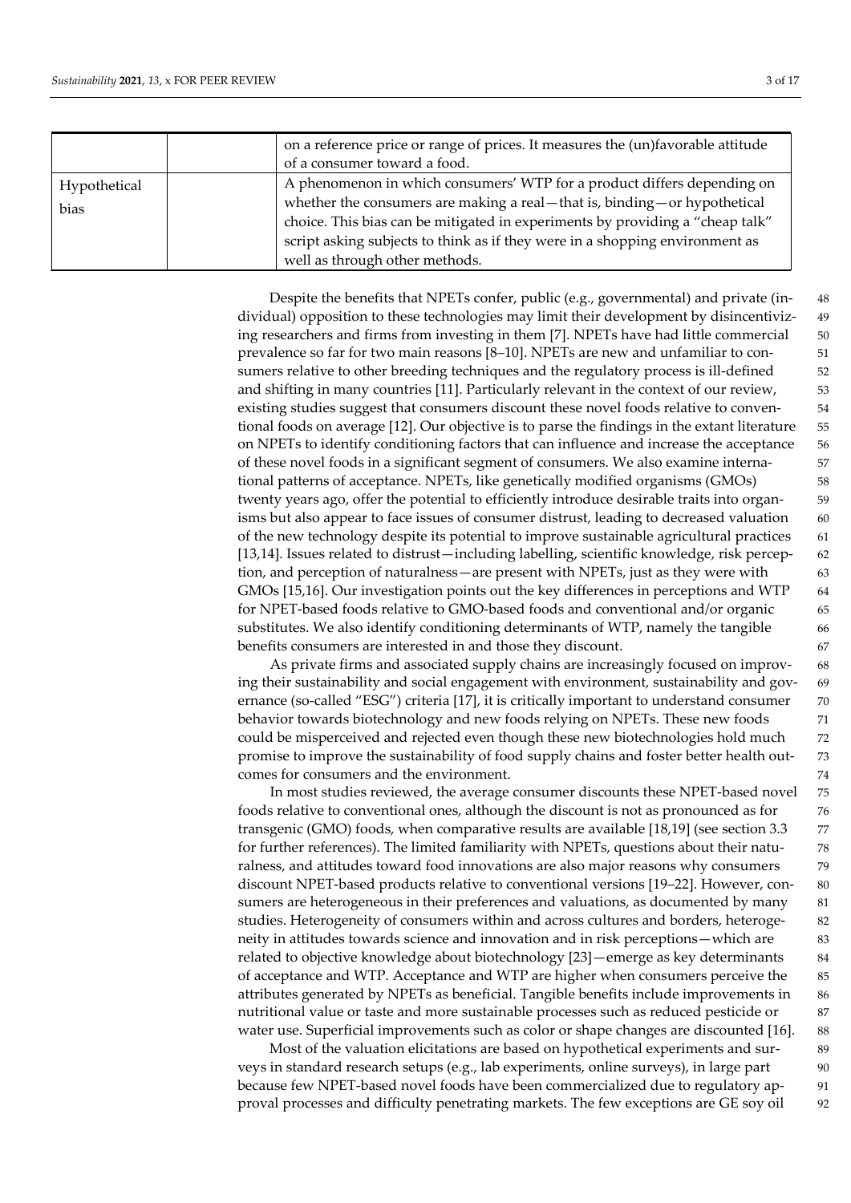|                      | on a reference price or range of prices. It measures the (un)favorable attitude<br>of a consumer toward a food.                                                                                                                                                                                                                                        |
|----------------------|--------------------------------------------------------------------------------------------------------------------------------------------------------------------------------------------------------------------------------------------------------------------------------------------------------------------------------------------------------|
| Hypothetical<br>bias | A phenomenon in which consumers' WTP for a product differs depending on<br>whether the consumers are making a real—that is, binding—or hypothetical<br>choice. This bias can be mitigated in experiments by providing a "cheap talk"<br>script asking subjects to think as if they were in a shopping environment as<br>well as through other methods. |

Despite the benefits that NPETs confer, public (e.g., governmental) and private (in- 48 dividual) opposition to these technologies may limit their development by disincentiviz- 49 ing researchers and firms from investing in them [7]. NPETs have had little commercial 50 prevalence so far for two main reasons [8–10]. NPETs are new and unfamiliar to con- 51 sumers relative to other breeding techniques and the regulatory process is ill-defined  $52$ and shifting in many countries [11]. Particularly relevant in the context of our review, 53 existing studies suggest that consumers discount these novel foods relative to conven- 54 tional foods on average [12]. Our objective is to parse the findings in the extant literature 55 on NPETs to identify conditioning factors that can influence and increase the acceptance 56 of these novel foods in a significant segment of consumers. We also examine interna- 57 tional patterns of acceptance. NPETs, like genetically modified organisms (GMOs) 58 twenty years ago, offer the potential to efficiently introduce desirable traits into organ- 59 isms but also appear to face issues of consumer distrust, leading to decreased valuation 60 of the new technology despite its potential to improve sustainable agricultural practices 61 [13,14]. Issues related to distrust—including labelling, scientific knowledge, risk percep- 62 tion, and perception of naturalness—are present with NPETs, just as they were with 63 GMOs [15,16]. Our investigation points out the key differences in perceptions and WTP 64 for NPET-based foods relative to GMO-based foods and conventional and/or organic 65 substitutes. We also identify conditioning determinants of WTP, namely the tangible 66 benefits consumers are interested in and those they discount. 67

As private firms and associated supply chains are increasingly focused on improv- 68 ing their sustainability and social engagement with environment, sustainability and gov- 69 ernance (so-called "ESG") criteria [17], it is critically important to understand consumer 70 behavior towards biotechnology and new foods relying on NPETs. These new foods 71 could be misperceived and rejected even though these new biotechnologies hold much 72 promise to improve the sustainability of food supply chains and foster better health out- 73 comes for consumers and the environment. 74

In most studies reviewed, the average consumer discounts these NPET-based novel 75 foods relative to conventional ones, although the discount is not as pronounced as for 76 transgenic (GMO) foods, when comparative results are available [18,19] (see section 3.3 77 for further references). The limited familiarity with NPETs, questions about their natu- 78 ralness, and attitudes toward food innovations are also major reasons why consumers 79 discount NPET-based products relative to conventional versions [19–22]. However, con- 80 sumers are heterogeneous in their preferences and valuations, as documented by many 81 studies. Heterogeneity of consumers within and across cultures and borders, heteroge- 82 neity in attitudes towards science and innovation and in risk perceptions—which are 83 related to objective knowledge about biotechnology [23]—emerge as key determinants 84 of acceptance and WTP. Acceptance and WTP are higher when consumers perceive the 85 attributes generated by NPETs as beneficial. Tangible benefits include improvements in 86 nutritional value or taste and more sustainable processes such as reduced pesticide or 87 water use. Superficial improvements such as color or shape changes are discounted [16]. 88

Most of the valuation elicitations are based on hypothetical experiments and sur-<br>89 veys in standard research setups (e.g., lab experiments, online surveys), in large part 90 because few NPET-based novel foods have been commercialized due to regulatory ap- 91 proval processes and difficulty penetrating markets. The few exceptions are GE soy oil 92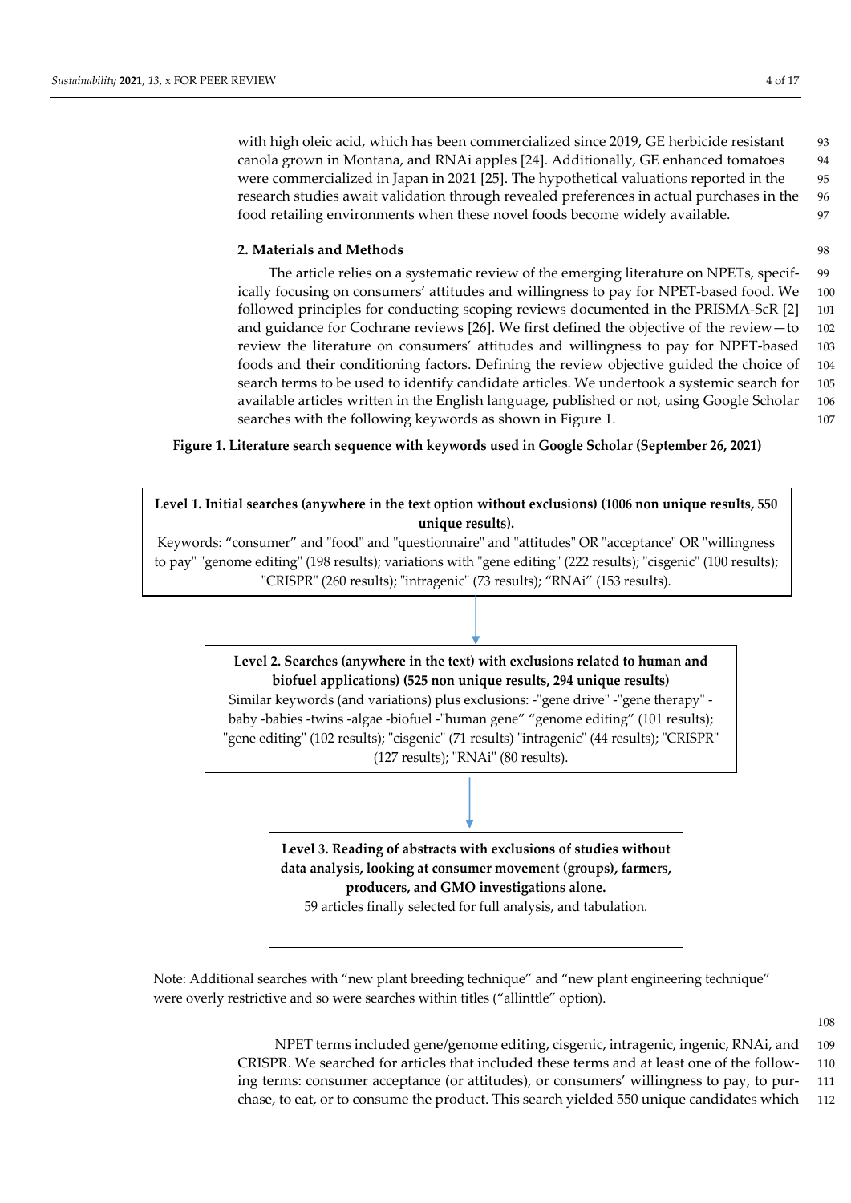with high oleic acid, which has been commercialized since 2019, GE herbicide resistant 93 canola grown in Montana, and RNAi apples [24]. Additionally, GE enhanced tomatoes 94 were commercialized in Japan in 2021 [25]. The hypothetical valuations reported in the 95 research studies await validation through revealed preferences in actual purchases in the 96 food retailing environments when these novel foods become widely available. 97

## **2. Materials and Methods** 98

The article relies on a systematic review of the emerging literature on NPETs, specif-<br>99 ically focusing on consumers' attitudes and willingness to pay for NPET-based food. We 100 followed principles for conducting scoping reviews documented in the PRISMA-ScR [2] 101 and guidance for Cochrane reviews [26]. We first defined the objective of the review—to  $102$ review the literature on consumers' attitudes and willingness to pay for NPET-based 103 foods and their conditioning factors. Defining the review objective guided the choice of 104 search terms to be used to identify candidate articles. We undertook a systemic search for 105 available articles written in the English language, published or not, using Google Scholar 106 searches with the following keywords as shown in Figure 1. 107

**Figure 1. Literature search sequence with keywords used in Google Scholar (September 26, 2021)**



**Level 3. Reading of abstracts with exclusions of studies without data analysis, looking at consumer movement (groups), farmers, producers, and GMO investigations alone.**

59 articles finally selected for full analysis, and tabulation.

Note: Additional searches with "new plant breeding technique" and "new plant engineering technique" were overly restrictive and so were searches within titles ("allinttle" option).

108

NPET terms included gene/genome editing, cisgenic, intragenic, ingenic, RNAi, and 109 CRISPR. We searched for articles that included these terms and at least one of the follow- 110 ing terms: consumer acceptance (or attitudes), or consumers' willingness to pay, to pur- 111 chase, to eat, or to consume the product. This search yielded 550 unique candidates which 112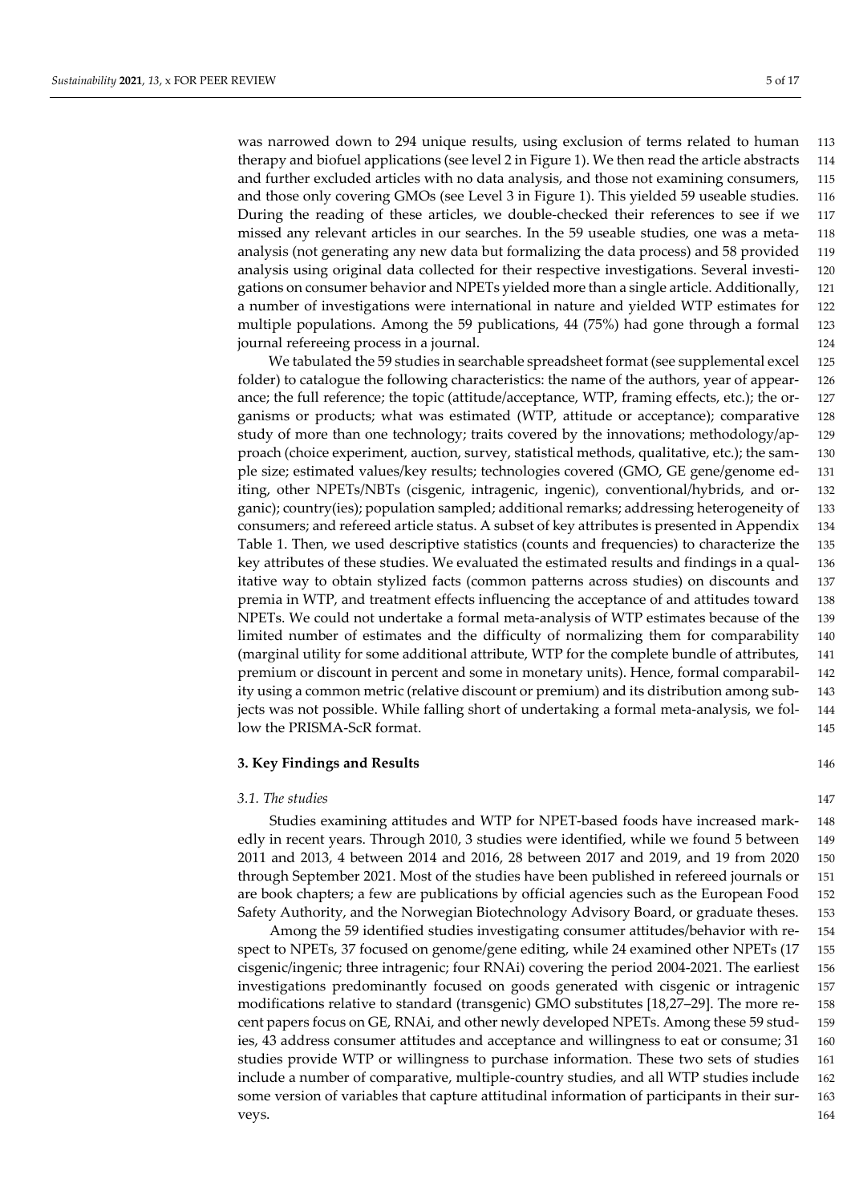was narrowed down to 294 unique results, using exclusion of terms related to human 113 therapy and biofuel applications (see level 2 in Figure 1). We then read the article abstracts 114 and further excluded articles with no data analysis, and those not examining consumers, 115 and those only covering GMOs (see Level 3 in Figure 1). This yielded 59 useable studies. 116 During the reading of these articles, we double-checked their references to see if we 117 missed any relevant articles in our searches. In the 59 useable studies, one was a meta- 118 analysis (not generating any new data but formalizing the data process) and 58 provided 119 analysis using original data collected for their respective investigations. Several investi- 120 gations on consumer behavior and NPETs yielded more than a single article. Additionally, 121 a number of investigations were international in nature and yielded WTP estimates for 122 multiple populations. Among the 59 publications, 44 (75%) had gone through a formal 123 journal refereeing process in a journal. 124

We tabulated the 59 studies in searchable spreadsheet format (see supplemental excel 125 folder) to catalogue the following characteristics: the name of the authors, year of appear- 126 ance; the full reference; the topic (attitude/acceptance, WTP, framing effects, etc.); the or- 127 ganisms or products; what was estimated (WTP, attitude or acceptance); comparative 128 study of more than one technology; traits covered by the innovations; methodology/ap- 129 proach (choice experiment, auction, survey, statistical methods, qualitative, etc.); the sam- 130 ple size; estimated values/key results; technologies covered (GMO, GE gene/genome ed- 131 iting, other NPETs/NBTs (cisgenic, intragenic, ingenic), conventional/hybrids, and or- 132 ganic); country(ies); population sampled; additional remarks; addressing heterogeneity of 133 consumers; and refereed article status. A subset of key attributes is presented in Appendix 134 Table 1. Then, we used descriptive statistics (counts and frequencies) to characterize the 135 key attributes of these studies. We evaluated the estimated results and findings in a qual- 136 itative way to obtain stylized facts (common patterns across studies) on discounts and 137 premia in WTP, and treatment effects influencing the acceptance of and attitudes toward 138 NPETs. We could not undertake a formal meta-analysis of WTP estimates because of the 139 limited number of estimates and the difficulty of normalizing them for comparability 140 (marginal utility for some additional attribute, WTP for the complete bundle of attributes, 141 premium or discount in percent and some in monetary units). Hence, formal comparabil- 142 ity using a common metric (relative discount or premium) and its distribution among sub- 143 jects was not possible. While falling short of undertaking a formal meta-analysis, we fol- 144 low the PRISMA-ScR format. 145

## **3. Key Findings and Results** 146

## *3.1. The studies* 147

Studies examining attitudes and WTP for NPET-based foods have increased mark- 148 edly in recent years. Through 2010, 3 studies were identified, while we found 5 between 149 2011 and 2013, 4 between 2014 and 2016, 28 between 2017 and 2019, and 19 from 2020 150 through September 2021. Most of the studies have been published in refereed journals or 151 are book chapters; a few are publications by official agencies such as the European Food 152 Safety Authority, and the Norwegian Biotechnology Advisory Board, or graduate theses. 153

Among the 59 identified studies investigating consumer attitudes/behavior with re- 154 spect to NPETs, 37 focused on genome/gene editing, while 24 examined other NPETs (17 155 cisgenic/ingenic; three intragenic; four RNAi) covering the period 2004-2021. The earliest 156 investigations predominantly focused on goods generated with cisgenic or intragenic 157 modifications relative to standard (transgenic) GMO substitutes [18,27–29]. The more re- 158 cent papers focus on GE, RNAi, and other newly developed NPETs. Among these 59 stud- 159 ies, 43 address consumer attitudes and acceptance and willingness to eat or consume; 31 160 studies provide WTP or willingness to purchase information. These two sets of studies 161 include a number of comparative, multiple-country studies, and all WTP studies include 162 some version of variables that capture attitudinal information of participants in their sur- 163 veys. The contract of the contract of the contract of the contract of the contract of the contract of the contract of the contract of the contract of the contract of the contract of the contract of the contract of the cont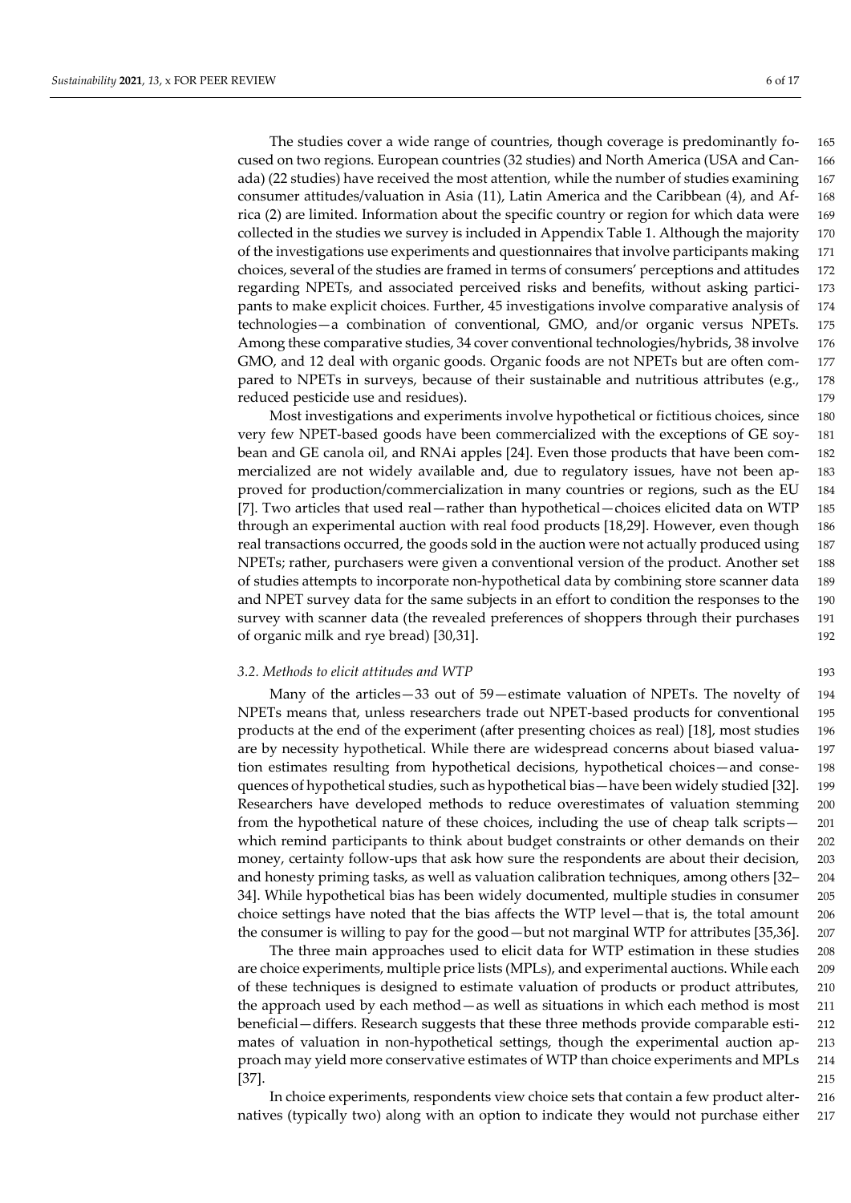The studies cover a wide range of countries, though coverage is predominantly fo- 165 cused on two regions. European countries (32 studies) and North America (USA and Can- 166 ada) (22 studies) have received the most attention, while the number of studies examining 167 consumer attitudes/valuation in Asia (11), Latin America and the Caribbean (4), and Af- 168 rica (2) are limited. Information about the specific country or region for which data were 169 collected in the studies we survey is included in Appendix Table 1. Although the majority 170 of the investigations use experiments and questionnaires that involve participants making 171 choices, several of the studies are framed in terms of consumers' perceptions and attitudes 172 regarding NPETs, and associated perceived risks and benefits, without asking partici- 173 pants to make explicit choices. Further, 45 investigations involve comparative analysis of 174 technologies—a combination of conventional, GMO, and/or organic versus NPETs. 175 Among these comparative studies, 34 cover conventional technologies/hybrids, 38 involve 176 GMO, and 12 deal with organic goods. Organic foods are not NPETs but are often com- 177 pared to NPETs in surveys, because of their sustainable and nutritious attributes (e.g., 178 reduced pesticide use and residues). 179

Most investigations and experiments involve hypothetical or fictitious choices, since 180 very few NPET-based goods have been commercialized with the exceptions of GE soy- 181 bean and GE canola oil, and RNAi apples [24]. Even those products that have been com- 182 mercialized are not widely available and, due to regulatory issues, have not been ap- 183 proved for production/commercialization in many countries or regions, such as the EU 184 [7]. Two articles that used real—rather than hypothetical—choices elicited data on WTP 185 through an experimental auction with real food products [18,29]. However, even though 186 real transactions occurred, the goods sold in the auction were not actually produced using 187 NPETs; rather, purchasers were given a conventional version of the product. Another set 188 of studies attempts to incorporate non-hypothetical data by combining store scanner data 189 and NPET survey data for the same subjects in an effort to condition the responses to the 190 survey with scanner data (the revealed preferences of shoppers through their purchases 191 of organic milk and rye bread) [30,31]. 192

#### *3.2. Methods to elicit attitudes and WTP* 193

Many of the articles - 33 out of 59 - estimate valuation of NPETs. The novelty of 194 NPETs means that, unless researchers trade out NPET-based products for conventional 195 products at the end of the experiment (after presenting choices as real) [18], most studies 196 are by necessity hypothetical. While there are widespread concerns about biased valua- 197 tion estimates resulting from hypothetical decisions, hypothetical choices—and conse- 198 quences of hypothetical studies, such as hypothetical bias—have been widely studied [32]. 199 Researchers have developed methods to reduce overestimates of valuation stemming 200 from the hypothetical nature of these choices, including the use of cheap talk scripts— 201 which remind participants to think about budget constraints or other demands on their 202 money, certainty follow-ups that ask how sure the respondents are about their decision, 203 and honesty priming tasks, as well as valuation calibration techniques, among others [32– 204 34]. While hypothetical bias has been widely documented, multiple studies in consumer 205 choice settings have noted that the bias affects the WTP level—that is, the total amount 206 the consumer is willing to pay for the good—but not marginal WTP for attributes [35,36]. 207

The three main approaches used to elicit data for WTP estimation in these studies 208 are choice experiments, multiple price lists (MPLs), and experimental auctions. While each 209 of these techniques is designed to estimate valuation of products or product attributes, 210 the approach used by each method—as well as situations in which each method is most 211 beneficial—differs. Research suggests that these three methods provide comparable esti- 212 mates of valuation in non-hypothetical settings, though the experimental auction ap- 213 proach may yield more conservative estimates of WTP than choice experiments and MPLs 214 [37]. 215

In choice experiments, respondents view choice sets that contain a few product alter- 216 natives (typically two) along with an option to indicate they would not purchase either 217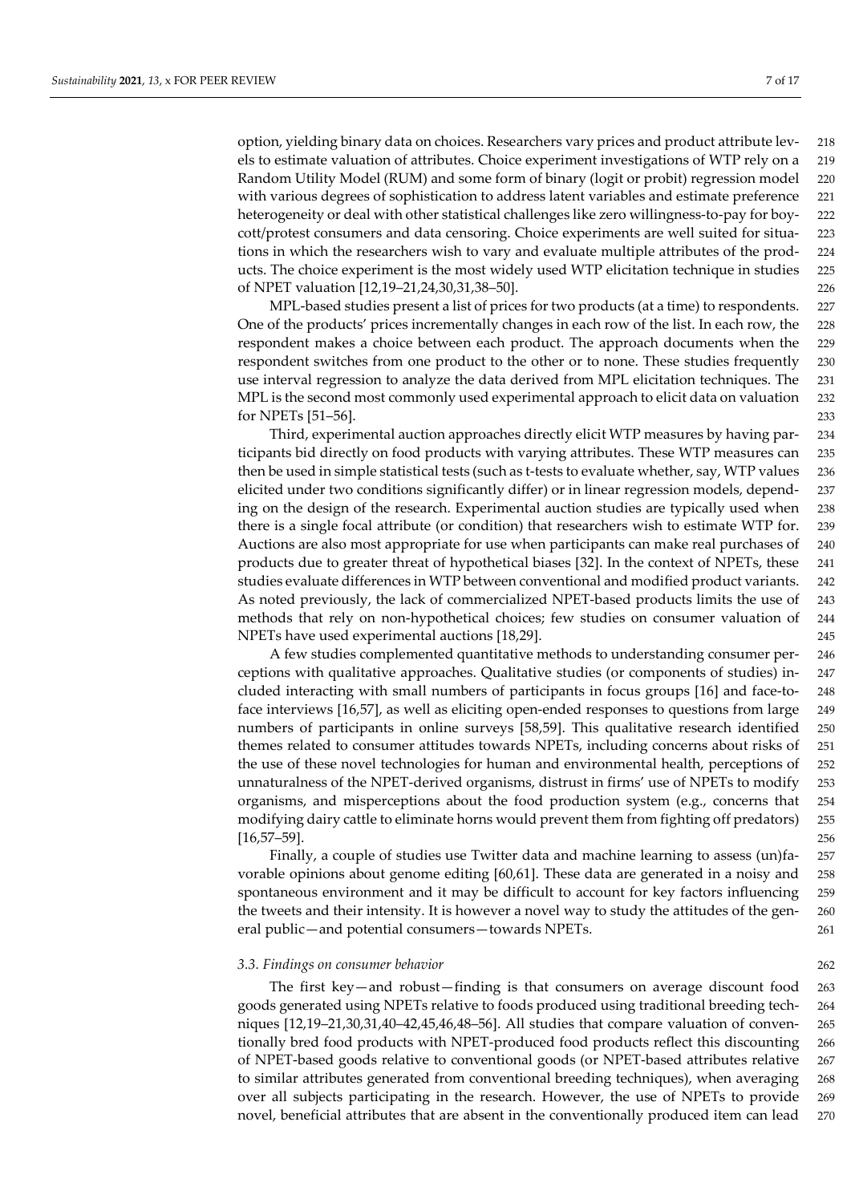option, yielding binary data on choices. Researchers vary prices and product attribute lev- 218 els to estimate valuation of attributes. Choice experiment investigations of WTP rely on a 219 Random Utility Model (RUM) and some form of binary (logit or probit) regression model 220 with various degrees of sophistication to address latent variables and estimate preference 221 heterogeneity or deal with other statistical challenges like zero willingness-to-pay for boy- 222 cott/protest consumers and data censoring. Choice experiments are well suited for situa- 223 tions in which the researchers wish to vary and evaluate multiple attributes of the prod- 224 ucts. The choice experiment is the most widely used WTP elicitation technique in studies 225 of NPET valuation [12,19–21,24,30,31,38–50]. 226

MPL-based studies present a list of prices for two products (at a time) to respondents. 227 One of the products' prices incrementally changes in each row of the list. In each row, the 228 respondent makes a choice between each product. The approach documents when the 229 respondent switches from one product to the other or to none. These studies frequently 230 use interval regression to analyze the data derived from MPL elicitation techniques. The 231 MPL is the second most commonly used experimental approach to elicit data on valuation 232 for NPETs [51–56]. 233

Third, experimental auction approaches directly elicit WTP measures by having par- 234 ticipants bid directly on food products with varying attributes. These WTP measures can 235 then be used in simple statistical tests (such as t-tests to evaluate whether, say, WTP values 236 elicited under two conditions significantly differ) or in linear regression models, depend- 237 ing on the design of the research. Experimental auction studies are typically used when 238 there is a single focal attribute (or condition) that researchers wish to estimate WTP for. 239 Auctions are also most appropriate for use when participants can make real purchases of 240 products due to greater threat of hypothetical biases [32]. In the context of NPETs, these 241 studies evaluate differences in WTP between conventional and modified product variants. 242 As noted previously, the lack of commercialized NPET-based products limits the use of 243 methods that rely on non-hypothetical choices; few studies on consumer valuation of 244 NPETs have used experimental auctions [18,29]. 245

A few studies complemented quantitative methods to understanding consumer per- 246 ceptions with qualitative approaches. Qualitative studies (or components of studies) in- 247 cluded interacting with small numbers of participants in focus groups [16] and face-to- 248 face interviews [16,57], as well as eliciting open-ended responses to questions from large 249 numbers of participants in online surveys [58,59]. This qualitative research identified 250 themes related to consumer attitudes towards NPETs, including concerns about risks of 251 the use of these novel technologies for human and environmental health, perceptions of 252 unnaturalness of the NPET-derived organisms, distrust in firms' use of NPETs to modify 253 organisms, and misperceptions about the food production system (e.g., concerns that 254 modifying dairy cattle to eliminate horns would prevent them from fighting off predators) 255 [16,57–59]. 256

Finally, a couple of studies use Twitter data and machine learning to assess (un)fa- 257 vorable opinions about genome editing [60,61]. These data are generated in a noisy and 258 spontaneous environment and it may be difficult to account for key factors influencing 259 the tweets and their intensity. It is however a novel way to study the attitudes of the gen- 260 eral public—and potential consumers—towards NPETs. 261

#### *3.3. Findings on consumer behavior* 262

The first key—and robust—finding is that consumers on average discount food 263 goods generated using NPETs relative to foods produced using traditional breeding tech- 264 niques [12,19–21,30,31,40–42,45,46,48–56]. All studies that compare valuation of conven- 265 tionally bred food products with NPET-produced food products reflect this discounting 266 of NPET-based goods relative to conventional goods (or NPET-based attributes relative 267 to similar attributes generated from conventional breeding techniques), when averaging 268 over all subjects participating in the research. However, the use of NPETs to provide 269 novel, beneficial attributes that are absent in the conventionally produced item can lead 270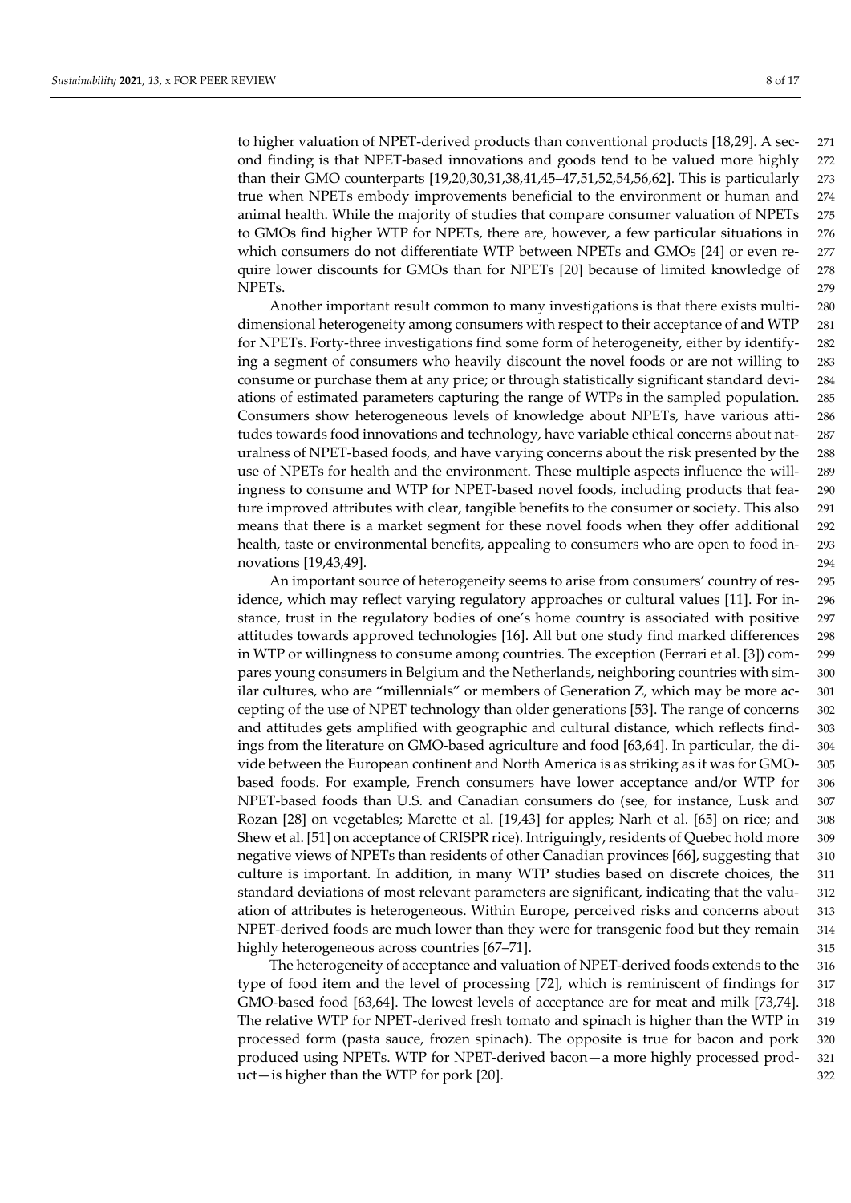to higher valuation of NPET-derived products than conventional products [18,29]. A sec- 271 ond finding is that NPET-based innovations and goods tend to be valued more highly 272 than their GMO counterparts [19,20,30,31,38,41,45–47,51,52,54,56,62]. This is particularly 273 true when NPETs embody improvements beneficial to the environment or human and 274 animal health. While the majority of studies that compare consumer valuation of NPETs 275 to GMOs find higher WTP for NPETs, there are, however, a few particular situations in 276 which consumers do not differentiate WTP between NPETs and GMOs [24] or even re- 277 quire lower discounts for GMOs than for NPETs [20] because of limited knowledge of 278 NPETs. 279

Another important result common to many investigations is that there exists multi- 280 dimensional heterogeneity among consumers with respect to their acceptance of and WTP 281 for NPETs. Forty-three investigations find some form of heterogeneity, either by identify- 282 ing a segment of consumers who heavily discount the novel foods or are not willing to 283 consume or purchase them at any price; or through statistically significant standard devi- 284 ations of estimated parameters capturing the range of WTPs in the sampled population. 285 Consumers show heterogeneous levels of knowledge about NPETs, have various atti- 286 tudes towards food innovations and technology, have variable ethical concerns about nat- 287 uralness of NPET-based foods, and have varying concerns about the risk presented by the 288 use of NPETs for health and the environment. These multiple aspects influence the will- 289 ingness to consume and WTP for NPET-based novel foods, including products that fea- 290 ture improved attributes with clear, tangible benefits to the consumer or society. This also 291 means that there is a market segment for these novel foods when they offer additional 292 health, taste or environmental benefits, appealing to consumers who are open to food in- 293 novations [19,43,49]. 294

An important source of heterogeneity seems to arise from consumers' country of res- 295 idence, which may reflect varying regulatory approaches or cultural values [11]. For in- 296 stance, trust in the regulatory bodies of one's home country is associated with positive 297 attitudes towards approved technologies [16]. All but one study find marked differences 298 in WTP or willingness to consume among countries. The exception (Ferrari et al. [3]) com- 299 pares young consumers in Belgium and the Netherlands, neighboring countries with sim- 300 ilar cultures, who are "millennials" or members of Generation Z, which may be more ac- 301 cepting of the use of NPET technology than older generations [53]. The range of concerns 302 and attitudes gets amplified with geographic and cultural distance, which reflects find- 303 ings from the literature on GMO-based agriculture and food [63,64]. In particular, the di- 304 vide between the European continent and North America is as striking as it was for GMO- 305 based foods. For example, French consumers have lower acceptance and/or WTP for 306 NPET-based foods than U.S. and Canadian consumers do (see, for instance, Lusk and 307 Rozan [28] on vegetables; Marette et al. [19,43] for apples; Narh et al. [65] on rice; and 308 Shew et al. [51] on acceptance of CRISPR rice). Intriguingly, residents of Quebec hold more 309 negative views of NPETs than residents of other Canadian provinces [66], suggesting that 310 culture is important. In addition, in many WTP studies based on discrete choices, the 311 standard deviations of most relevant parameters are significant, indicating that the valu- 312 ation of attributes is heterogeneous. Within Europe, perceived risks and concerns about 313 NPET-derived foods are much lower than they were for transgenic food but they remain 314 highly heterogeneous across countries [67–71]. 315

The heterogeneity of acceptance and valuation of NPET-derived foods extends to the 316 type of food item and the level of processing [72], which is reminiscent of findings for 317 GMO-based food [63,64]. The lowest levels of acceptance are for meat and milk [73,74]. 318 The relative WTP for NPET-derived fresh tomato and spinach is higher than the WTP in 319 processed form (pasta sauce, frozen spinach). The opposite is true for bacon and pork 320 produced using NPETs. WTP for NPET-derived bacon—a more highly processed prod- 321 uct—is higher than the WTP for pork [20]. 322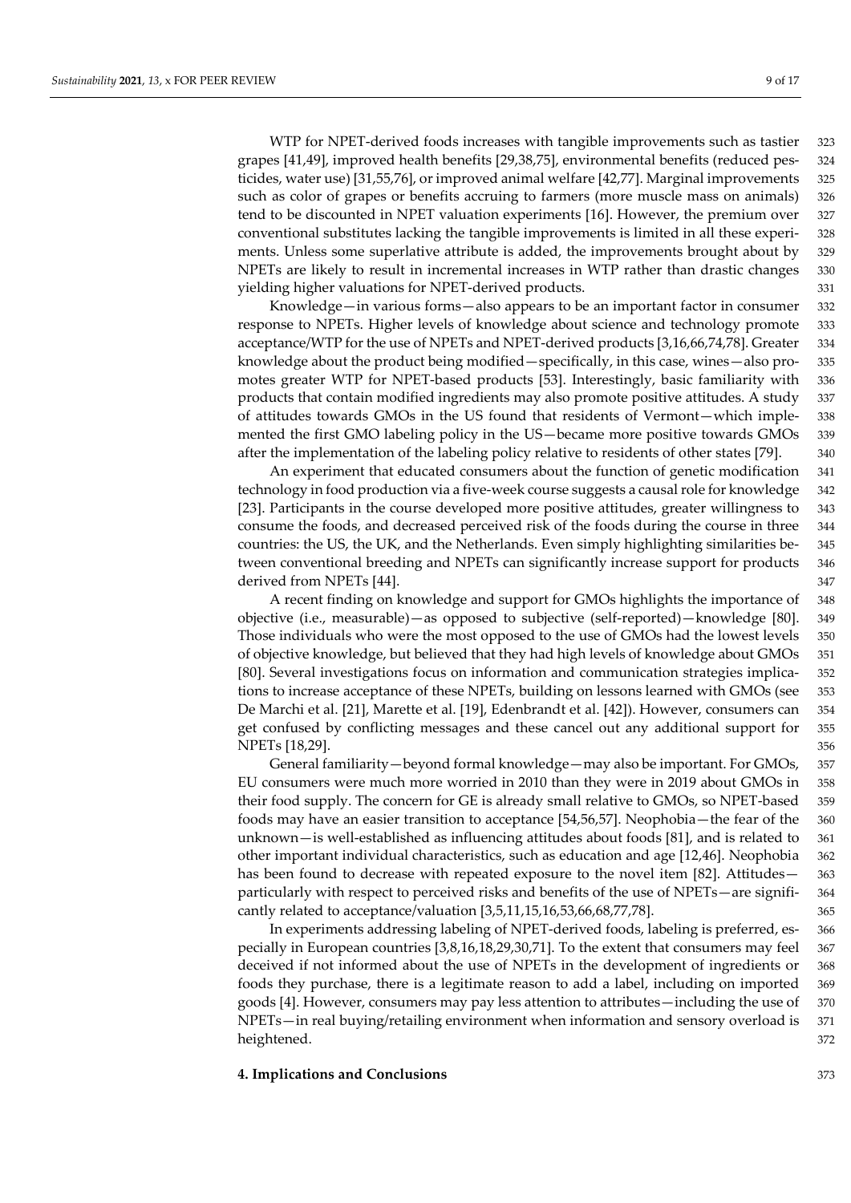WTP for NPET-derived foods increases with tangible improvements such as tastier 323 grapes [41,49], improved health benefits [29,38,75], environmental benefits (reduced pes- 324 ticides, water use) [31,55,76], or improved animal welfare [42,77]. Marginal improvements 325 such as color of grapes or benefits accruing to farmers (more muscle mass on animals) 326 tend to be discounted in NPET valuation experiments [16]. However, the premium over 327 conventional substitutes lacking the tangible improvements is limited in all these experi- 328 ments. Unless some superlative attribute is added, the improvements brought about by 329 NPETs are likely to result in incremental increases in WTP rather than drastic changes 330 yielding higher valuations for NPET-derived products. 331

Knowledge—in various forms—also appears to be an important factor in consumer 332 response to NPETs. Higher levels of knowledge about science and technology promote 333 acceptance/WTP for the use of NPETs and NPET-derived products [3,16,66,74,78]. Greater 334 knowledge about the product being modified—specifically, in this case, wines—also pro- 335 motes greater WTP for NPET-based products [53]. Interestingly, basic familiarity with 336 products that contain modified ingredients may also promote positive attitudes. A study 337 of attitudes towards GMOs in the US found that residents of Vermont—which imple- 338 mented the first GMO labeling policy in the US—became more positive towards GMOs 339 after the implementation of the labeling policy relative to residents of other states [79]. 340

An experiment that educated consumers about the function of genetic modification 341 technology in food production via a five-week course suggests a causal role for knowledge 342 [23]. Participants in the course developed more positive attitudes, greater willingness to 343 consume the foods, and decreased perceived risk of the foods during the course in three 344 countries: the US, the UK, and the Netherlands. Even simply highlighting similarities be- 345 tween conventional breeding and NPETs can significantly increase support for products 346 derived from NPETs [44]. 347

A recent finding on knowledge and support for GMOs highlights the importance of 348 objective (i.e., measurable)—as opposed to subjective (self-reported)—knowledge [80]. 349 Those individuals who were the most opposed to the use of GMOs had the lowest levels 350 of objective knowledge, but believed that they had high levels of knowledge about GMOs 351 [80]. Several investigations focus on information and communication strategies implica- 352 tions to increase acceptance of these NPETs, building on lessons learned with GMOs (see 353 De Marchi et al. [21], Marette et al. [19], Edenbrandt et al. [42]). However, consumers can 354 get confused by conflicting messages and these cancel out any additional support for 355 NPETs [18,29]. 356

General familiarity—beyond formal knowledge—may also be important. For GMOs, 357 EU consumers were much more worried in 2010 than they were in 2019 about GMOs in 358 their food supply. The concern for GE is already small relative to GMOs, so NPET-based 359 foods may have an easier transition to acceptance [54,56,57]. Neophobia—the fear of the 360 unknown—is well-established as influencing attitudes about foods  $[81]$ , and is related to 361 other important individual characteristics, such as education and age [12,46]. Neophobia 362 has been found to decrease with repeated exposure to the novel item [82]. Attitudes— 363 particularly with respect to perceived risks and benefits of the use of NPETs—are signifi- 364 cantly related to acceptance/valuation [3,5,11,15,16,53,66,68,77,78]. 365

In experiments addressing labeling of NPET-derived foods, labeling is preferred, es- 366 pecially in European countries [3,8,16,18,29,30,71]. To the extent that consumers may feel 367 deceived if not informed about the use of NPETs in the development of ingredients or 368 foods they purchase, there is a legitimate reason to add a label, including on imported 369 goods [4]. However, consumers may pay less attention to attributes—including the use of 370 NPETs—in real buying/retailing environment when information and sensory overload is 371 heightened. 372

## **4. Implications and Conclusions** 373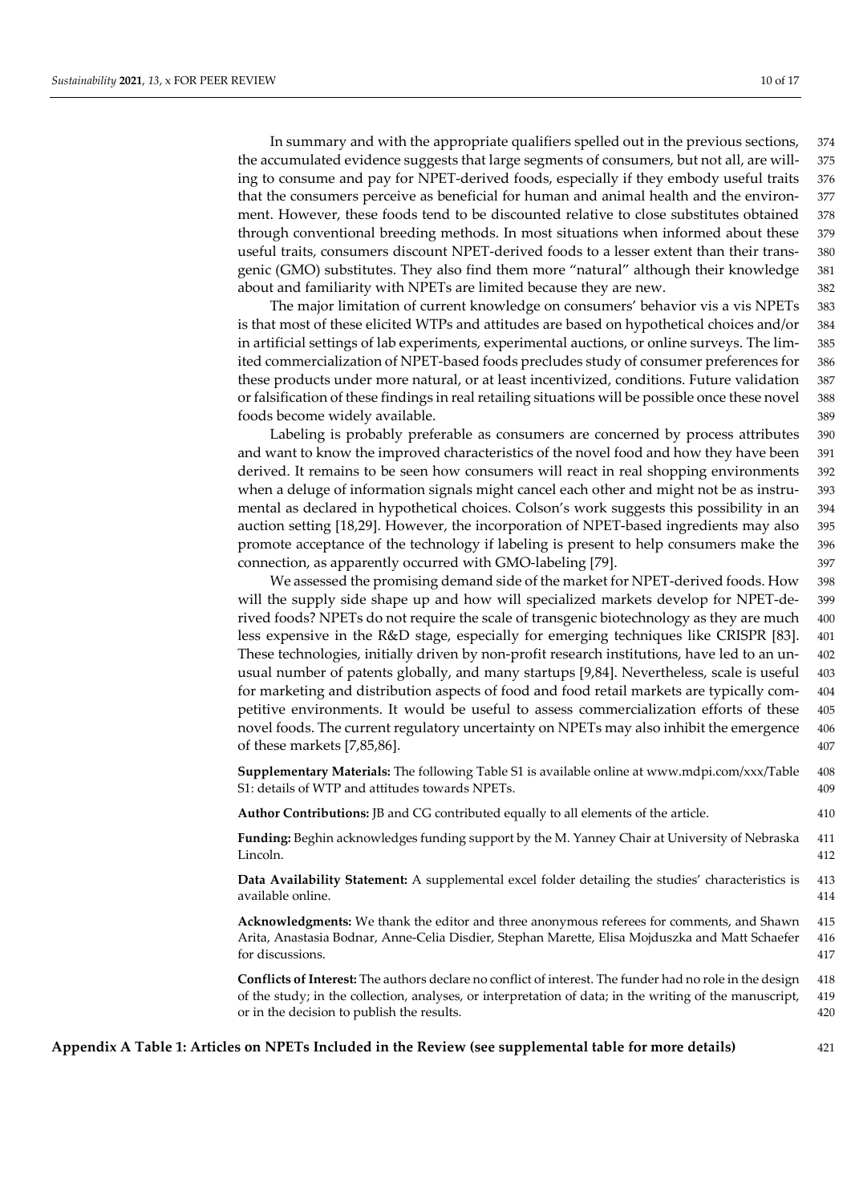In summary and with the appropriate qualifiers spelled out in the previous sections, 374 the accumulated evidence suggests that large segments of consumers, but not all, are will-<br>375 ing to consume and pay for NPET-derived foods, especially if they embody useful traits 376 that the consumers perceive as beneficial for human and animal health and the environ- 377 ment. However, these foods tend to be discounted relative to close substitutes obtained 378 through conventional breeding methods. In most situations when informed about these 379 useful traits, consumers discount NPET-derived foods to a lesser extent than their trans- 380 genic (GMO) substitutes. They also find them more "natural" although their knowledge 381 about and familiarity with NPETs are limited because they are new. 382

The major limitation of current knowledge on consumers' behavior vis a vis NPETs 383 is that most of these elicited WTPs and attitudes are based on hypothetical choices and/or 384 in artificial settings of lab experiments, experimental auctions, or online surveys. The lim- 385 ited commercialization of NPET-based foods precludes study of consumer preferences for 386 these products under more natural, or at least incentivized, conditions. Future validation 387 or falsification of these findings in real retailing situations will be possible once these novel 388 foods become widely available. 389

Labeling is probably preferable as consumers are concerned by process attributes 390 and want to know the improved characteristics of the novel food and how they have been 391 derived. It remains to be seen how consumers will react in real shopping environments 392 when a deluge of information signals might cancel each other and might not be as instru- 393 mental as declared in hypothetical choices. Colson's work suggests this possibility in an 394 auction setting [18,29]. However, the incorporation of NPET-based ingredients may also 395 promote acceptance of the technology if labeling is present to help consumers make the 396 connection, as apparently occurred with GMO-labeling [79]. 397

We assessed the promising demand side of the market for NPET-derived foods. How 398 will the supply side shape up and how will specialized markets develop for NPET-de- 399 rived foods? NPETs do not require the scale of transgenic biotechnology as they are much 400 less expensive in the R&D stage, especially for emerging techniques like CRISPR [83]. 401 These technologies, initially driven by non-profit research institutions, have led to an un- 402 usual number of patents globally, and many startups [9,84]. Nevertheless, scale is useful 403 for marketing and distribution aspects of food and food retail markets are typically com- 404 petitive environments. It would be useful to assess commercialization efforts of these 405 novel foods. The current regulatory uncertainty on NPETs may also inhibit the emergence 406 of these markets [7,85,86]. 407

**Supplementary Materials:** The following Table S1 is available online at www.mdpi.com/xxx/Table 408 S1: details of WTP and attitudes towards NPETs. 409

**Author Contributions:** JB and CG contributed equally to all elements of the article. 410

**Funding:** Beghin acknowledges funding support by the M. Yanney Chair at University of Nebraska 411 Lincoln. 412

**Data Availability Statement:** A supplemental excel folder detailing the studies' characteristics is 413 available online. 414

**Acknowledgments:** We thank the editor and three anonymous referees for comments, and Shawn 415 Arita, Anastasia Bodnar, Anne-Celia Disdier, Stephan Marette, Elisa Mojduszka and Matt Schaefer 416 for discussions. 417

**Conflicts of Interest:** The authors declare no conflict of interest. The funder had no role in the design 418 of the study; in the collection, analyses, or interpretation of data; in the writing of the manuscript, 419 or in the decision to publish the results. 420

**Appendix A Table 1: Articles on NPETs Included in the Review (see supplemental table for more details)** 421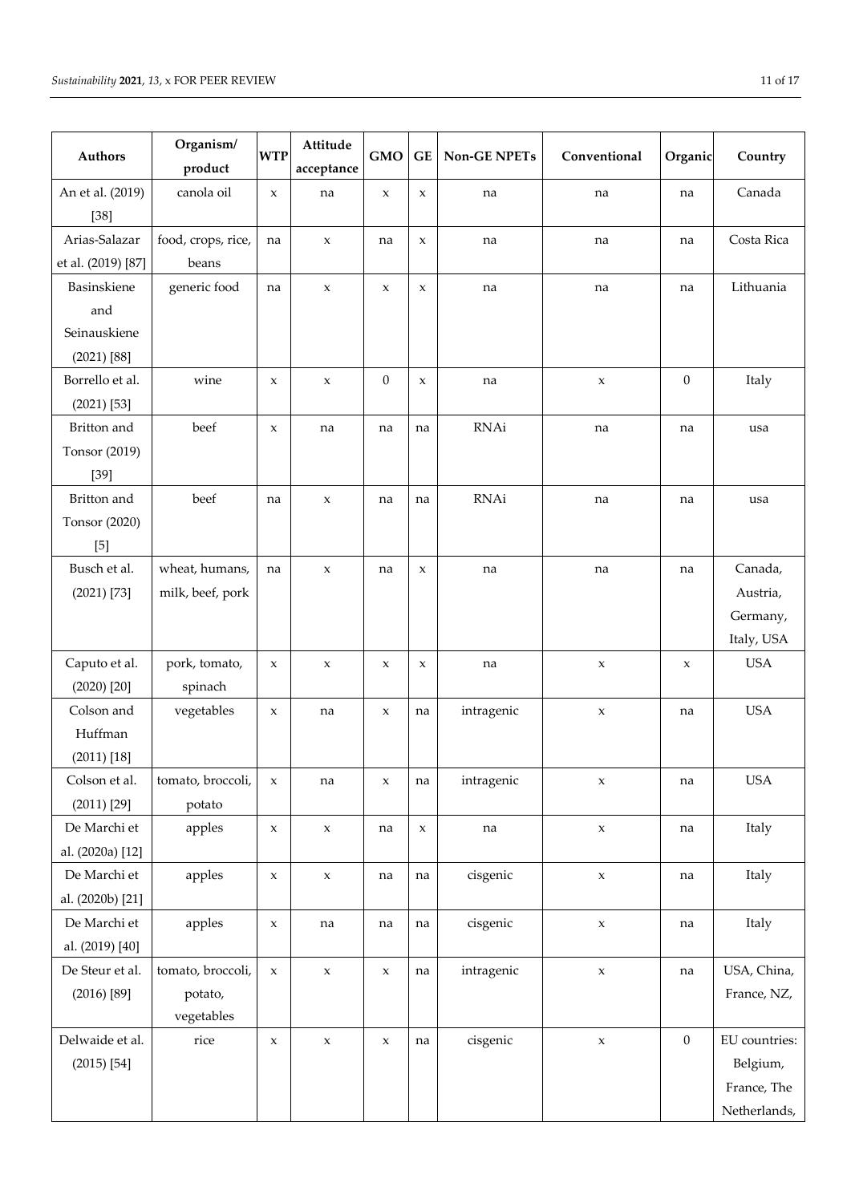| Authors                    | Organism/<br>product | <b>WTP</b>  | Attitude<br>acceptance | <b>GMO</b>       | <b>GE</b>           | <b>Non-GE NPETs</b> | Conventional | Organic          | Country       |
|----------------------------|----------------------|-------------|------------------------|------------------|---------------------|---------------------|--------------|------------------|---------------|
| An et al. (2019)<br>$[38]$ | canola oil           | X           | na                     | $\mathbf x$      | $\mathsf X$         | na                  | na           | na               | Canada        |
| Arias-Salazar              | food, crops, rice,   | na          | $\mathbf x$            | na               | $\boldsymbol{\chi}$ | na                  | na           | na               | Costa Rica    |
| et al. (2019) [87]         | beans                |             |                        |                  |                     |                     |              |                  |               |
| Basinskiene                | generic food         | na          | $\mathsf X$            | $\mathsf X$      | $\mathsf X$         | na                  | na           | na               | Lithuania     |
| and                        |                      |             |                        |                  |                     |                     |              |                  |               |
| Seinauskiene               |                      |             |                        |                  |                     |                     |              |                  |               |
| $(2021)$ [88]              |                      |             |                        |                  |                     |                     |              |                  |               |
| Borrello et al.            | wine                 | X           | $\mathsf X$            | $\boldsymbol{0}$ | $\mathsf X$         | na                  | $\mathsf X$  | $\overline{0}$   | Italy         |
| $(2021)$ [53]              |                      |             |                        |                  |                     |                     |              |                  |               |
| Britton and                | beef                 | X           | na                     | na               | na                  | <b>RNAi</b>         | na           | na               | usa           |
| Tonsor (2019)              |                      |             |                        |                  |                     |                     |              |                  |               |
| $[39]$                     |                      |             |                        |                  |                     |                     |              |                  |               |
| Britton and                | beef                 | na          | $\mathsf X$            | na               | na                  | <b>RNAi</b>         | na           | na               | usa           |
| Tonsor (2020)              |                      |             |                        |                  |                     |                     |              |                  |               |
| $[5]$                      |                      |             |                        |                  |                     |                     |              |                  |               |
| Busch et al.               | wheat, humans,       | na          | $\mathsf X$            | na               | $\mathsf X$         | na                  | na           | na               | Canada,       |
| $(2021)$ [73]              | milk, beef, pork     |             |                        |                  |                     |                     |              |                  | Austria,      |
|                            |                      |             |                        |                  |                     |                     |              |                  | Germany,      |
|                            |                      |             |                        |                  |                     |                     |              |                  | Italy, USA    |
| Caputo et al.              | pork, tomato,        | X           | $\mathsf X$            | X                | $\mathsf X$         | na                  | $\mathsf X$  | $\mathsf X$      | <b>USA</b>    |
| $(2020)$ $[20]$            | spinach              |             |                        |                  |                     |                     |              |                  |               |
| Colson and                 | vegetables           | X           | na                     | $\mathbf x$      | na                  | intragenic          | $\mathsf X$  | na               | <b>USA</b>    |
| Huffman                    |                      |             |                        |                  |                     |                     |              |                  |               |
| $(2011)$ [18]              |                      |             |                        |                  |                     |                     |              |                  |               |
| Colson et al.              | tomato, broccoli,    | X           | na                     | $\mathsf X$      | na                  | intragenic          | $\mathbf x$  | na               | <b>USA</b>    |
| $(2011)$ [29]              | potato               |             |                        |                  |                     |                     |              |                  |               |
| De Marchi et               | apples               | X           | $\mathbf x$            | na               | $\mathsf X$         | na                  | $\mathbf x$  | na               | Italy         |
| al. (2020a) [12]           |                      |             |                        |                  |                     |                     |              |                  |               |
| De Marchi et               | apples               | X           | $\mathbf x$            | na               | na                  | cisgenic            | $\mathbf x$  | na               | Italy         |
| al. (2020b) [21]           |                      |             |                        |                  |                     |                     |              |                  |               |
| De Marchi et               | apples               | X           | na                     | na               | na                  | cisgenic            | $\mathbf x$  | na               | Italy         |
| al. (2019) [40]            |                      |             |                        |                  |                     |                     |              |                  |               |
| De Steur et al.            | tomato, broccoli,    | $\mathbf x$ | $\mathbf x$            | X                | na                  | intragenic          | $\mathbf x$  | na               | USA, China,   |
| $(2016)$ [89]              | potato,              |             |                        |                  |                     |                     |              |                  | France, NZ,   |
|                            | vegetables           |             |                        |                  |                     |                     |              |                  |               |
| Delwaide et al.            | rice                 | X           | $\mathbf x$            | $\mathbf x$      | $\rm na$            | cisgenic            | $\mathbf x$  | $\boldsymbol{0}$ | EU countries: |
| $(2015)$ [54]              |                      |             |                        |                  |                     |                     |              |                  | Belgium,      |
|                            |                      |             |                        |                  |                     |                     |              |                  | France, The   |
|                            |                      |             |                        |                  |                     |                     |              |                  | Netherlands,  |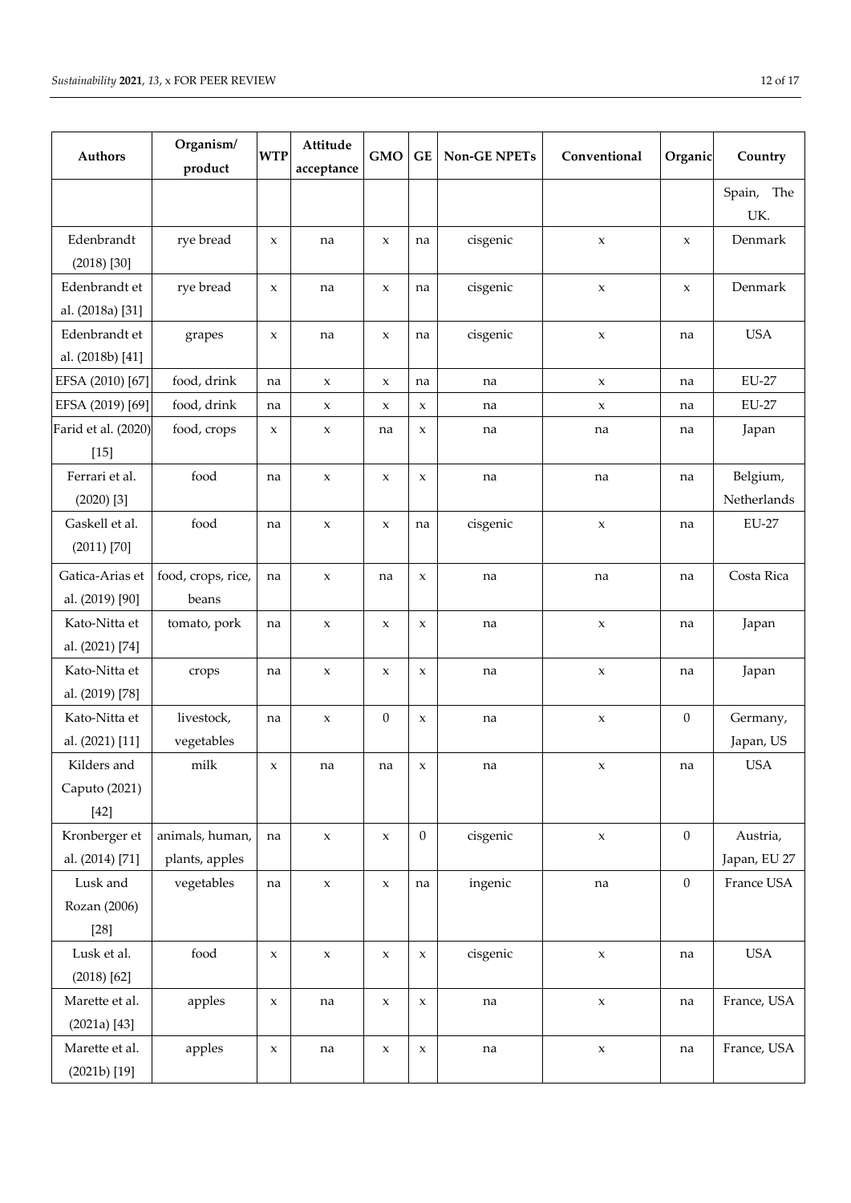| <b>Authors</b>                         | Organism/<br>product              | <b>WTP</b>          | Attitude<br>acceptance | <b>GMO</b>          | <b>GE</b>                 | <b>Non-GE NPETs</b> | Conventional | Organic          | Country                  |
|----------------------------------------|-----------------------------------|---------------------|------------------------|---------------------|---------------------------|---------------------|--------------|------------------|--------------------------|
|                                        |                                   |                     |                        |                     |                           |                     |              |                  | Spain, The<br>UK.        |
| Edenbrandt<br>$(2018)$ [30]            | rye bread                         | X                   | na                     | $\mathsf X$         | na                        | cisgenic            | $\mathsf X$  | $\mathsf X$      | Denmark                  |
| Edenbrandt et<br>al. (2018a) [31]      | rye bread                         | $\mathsf X$         | na                     | $\mathsf X$         | na                        | cisgenic            | $\mathsf X$  | $\mathsf X$      | Denmark                  |
| Edenbrandt et<br>al. (2018b) [41]      | grapes                            | $\mathsf X$         | na                     | $\mathsf X$         | na                        | cisgenic            | $\mathsf X$  | na               | <b>USA</b>               |
| EFSA (2010) [67]                       | food, drink                       | na                  | $\mathsf X$            | $\mathsf X$         | na                        | na                  | $\mathsf X$  | na               | <b>EU-27</b>             |
| EFSA (2019) [69]                       | food, drink                       | na                  | $\mathsf X$            | $\mathsf X$         | $\mathsf X$               | na                  | $\mathsf X$  | na               | <b>EU-27</b>             |
| Farid et al. (2020)<br>$[15]$          | food, crops                       | $\boldsymbol{\chi}$ | $\pmb{\chi}$           | na                  | $\boldsymbol{\chi}$       | na                  | na           | na               | Japan                    |
| Ferrari et al.<br>$(2020)$ [3]         | food                              | na                  | $\mathsf X$            | $\mathsf X$         | $\boldsymbol{\chi}$       | na                  | na           | na               | Belgium,<br>Netherlands  |
| Gaskell et al.<br>$(2011)$ $[70]$      | food                              | na                  | $\mathsf X$            | $\boldsymbol{\chi}$ | na                        | cisgenic            | $\mathsf X$  | na               | <b>EU-27</b>             |
| Gatica-Arias et<br>al. (2019) [90]     | food, crops, rice,<br>beans       | na                  | $\mathsf X$            | na                  | $\mathsf X$               | na                  | na           | na               | Costa Rica               |
| Kato-Nitta et<br>al. (2021) [74]       | tomato, pork                      | na                  | $\mathsf X$            | $\mathsf X$         | $\boldsymbol{\chi}$       | na                  | $\mathsf X$  | na               | Japan                    |
| Kato-Nitta et<br>al. (2019) [78]       | crops                             | na                  | $\mathsf X$            | $\mathsf X$         | $\mathsf X$               | na                  | $\mathsf X$  | na               | Japan                    |
| Kato-Nitta et<br>al. (2021) [11]       | livestock,<br>vegetables          | na                  | $\mathsf X$            | $\theta$            | $\mathsf X$               | na                  | $\mathsf X$  | $\mathbf{0}$     | Germany,<br>Japan, US    |
| Kilders and<br>Caputo (2021)<br>$[42]$ | milk                              | X                   | na                     | na                  | $\boldsymbol{\mathsf{x}}$ | na                  | X            | na               | <b>USA</b>               |
| Kronberger et<br>al. (2014) [71]       | animals, human,<br>plants, apples | na                  | $\mathbf x$            | $\mathbf x$         | $\boldsymbol{0}$          | cisgenic            | $\mathsf X$  | $\boldsymbol{0}$ | Austria,<br>Japan, EU 27 |
| Lusk and<br>Rozan (2006)<br>$[28]$     | vegetables                        | na                  | $\mathsf X$            | $\mathsf X$         | na                        | ingenic             | na           | $\boldsymbol{0}$ | France USA               |
| Lusk et al.<br>$(2018)$ [62]           | food                              | $\mathsf X$         | $\mathbf x$            | X                   | $\mathsf X$               | cisgenic            | $\mathbf x$  | na               | <b>USA</b>               |
| Marette et al.<br>(2021a) [43]         | apples                            | X                   | na                     | $\mathsf X$         | $\mathsf X$               | na                  | $\mathsf X$  | na               | France, USA              |
| Marette et al.<br>$(2021b)$ [19]       | apples                            | $\mathsf X$         | na                     | $\mathsf X$         | $\mathsf X$               | na                  | $\mathbf x$  | na               | France, USA              |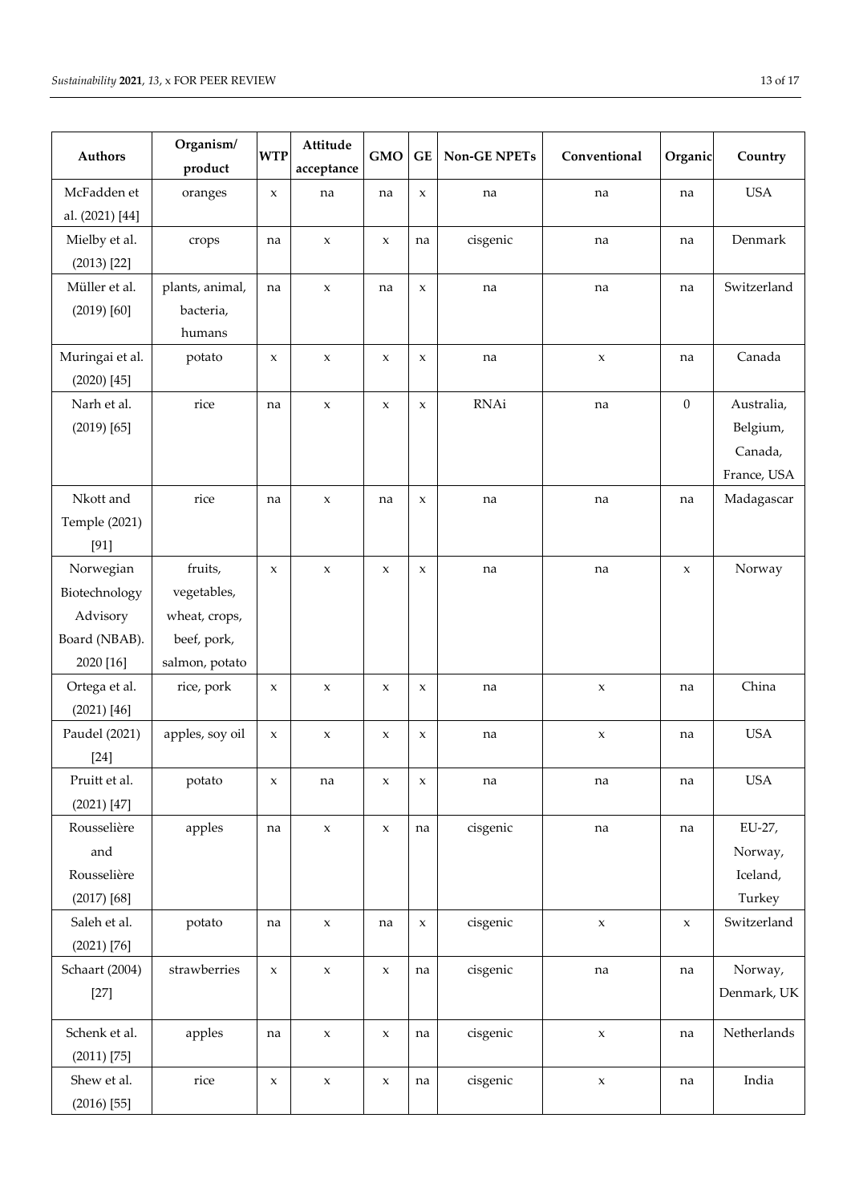| Authors         | Organism/<br>product | <b>WTP</b>  | Attitude<br>acceptance | <b>GMO</b>   | <b>GE</b>           | <b>Non-GE NPETs</b> | Conventional | Organic        | Country     |
|-----------------|----------------------|-------------|------------------------|--------------|---------------------|---------------------|--------------|----------------|-------------|
| McFadden et     | oranges              | $\mathsf X$ | na                     | na           | $\boldsymbol{\chi}$ | na                  | na           | na             | <b>USA</b>  |
| al. (2021) [44] |                      |             |                        |              |                     |                     |              |                |             |
| Mielby et al.   | crops                | na          | $\mathsf X$            | $\mathbf x$  | na                  | cisgenic            | na           | na             | Denmark     |
| $(2013)$ [22]   |                      |             |                        |              |                     |                     |              |                |             |
| Müller et al.   | plants, animal,      | na          | $\mathsf X$            | na           | $\boldsymbol{\chi}$ | na                  | na           | na             | Switzerland |
| $(2019)$ $[60]$ | bacteria,            |             |                        |              |                     |                     |              |                |             |
|                 | humans               |             |                        |              |                     |                     |              |                |             |
| Muringai et al. | potato               | $\mathsf X$ | $\mathsf X$            | $\mathsf X$  | $\mathsf X$         | na                  | $\mathsf X$  | na             | Canada      |
| $(2020)$ [45]   |                      |             |                        |              |                     |                     |              |                |             |
| Narh et al.     | rice                 | na          | $\mathsf X$            | $\mathsf X$  | $\mathsf X$         | <b>RNAi</b>         | na           | $\overline{0}$ | Australia,  |
| $(2019)$ [65]   |                      |             |                        |              |                     |                     |              |                | Belgium,    |
|                 |                      |             |                        |              |                     |                     |              |                | Canada,     |
|                 |                      |             |                        |              |                     |                     |              |                | France, USA |
| Nkott and       | rice                 | na          | $\mathsf X$            | na           | $\mathsf X$         | na                  | na           | na             | Madagascar  |
| Temple (2021)   |                      |             |                        |              |                     |                     |              |                |             |
| [91]            |                      |             |                        |              |                     |                     |              |                |             |
| Norwegian       | fruits,              | $\mathbf x$ | $\mathsf X$            | X            | $\boldsymbol{\chi}$ | na                  | na           | $\mathbf x$    | Norway      |
| Biotechnology   | vegetables,          |             |                        |              |                     |                     |              |                |             |
| Advisory        | wheat, crops,        |             |                        |              |                     |                     |              |                |             |
| Board (NBAB).   | beef, pork,          |             |                        |              |                     |                     |              |                |             |
| 2020 [16]       | salmon, potato       |             |                        |              |                     |                     |              |                |             |
| Ortega et al.   | rice, pork           | $\mathbf x$ | $\mathsf X$            | X            | X                   | na                  | $\mathsf X$  | na             | China       |
| $(2021)$ [46]   |                      |             |                        |              |                     |                     |              |                |             |
| Paudel (2021)   | apples, soy oil      | $\mathbf x$ | $\mathsf X$            | X            | $\mathsf X$         | na                  | $\mathsf X$  | na             | <b>USA</b>  |
| $[24]$          |                      |             |                        |              |                     |                     |              |                |             |
| Pruitt et al.   | potato               | $\mathsf X$ | na                     | $\pmb{\chi}$ | $\mathsf X$         | na                  | na           | na             | <b>USA</b>  |
| $(2021)$ [47]   |                      |             |                        |              |                     |                     |              |                |             |
| Rousselière     | apples               | na          | $\mathsf X$            | $\mathsf X$  | na                  | cisgenic            | na           | na             | EU-27,      |
| and             |                      |             |                        |              |                     |                     |              |                | Norway,     |
| Rousselière     |                      |             |                        |              |                     |                     |              |                | Iceland,    |
| $(2017)$ [68]   |                      |             |                        |              |                     |                     |              |                | Turkey      |
| Saleh et al.    | potato               | na          | $\mathsf X$            | na           | $\mathsf X$         | cisgenic            | $\mathbf x$  | $\mathsf X$    | Switzerland |
| $(2021)$ [76]   |                      |             |                        |              |                     |                     |              |                |             |
| Schaart (2004)  | strawberries         | $\mathsf X$ | $\mathsf X$            | X            | na                  | cisgenic            | na           | na             | Norway,     |
| $[27]$          |                      |             |                        |              |                     |                     |              |                | Denmark, UK |
|                 |                      |             |                        |              |                     |                     |              |                |             |
| Schenk et al.   | apples               | na          | $\mathsf X$            | X            | na                  | cisgenic            | $\mathsf X$  | na             | Netherlands |
| $(2011)$ [75]   |                      |             |                        |              |                     |                     |              |                |             |
| Shew et al.     | rice                 | $\mathsf X$ | $\mathsf X$            | X            | na                  | cisgenic            | $\mathbf x$  | na             | India       |
| $(2016)$ [55]   |                      |             |                        |              |                     |                     |              |                |             |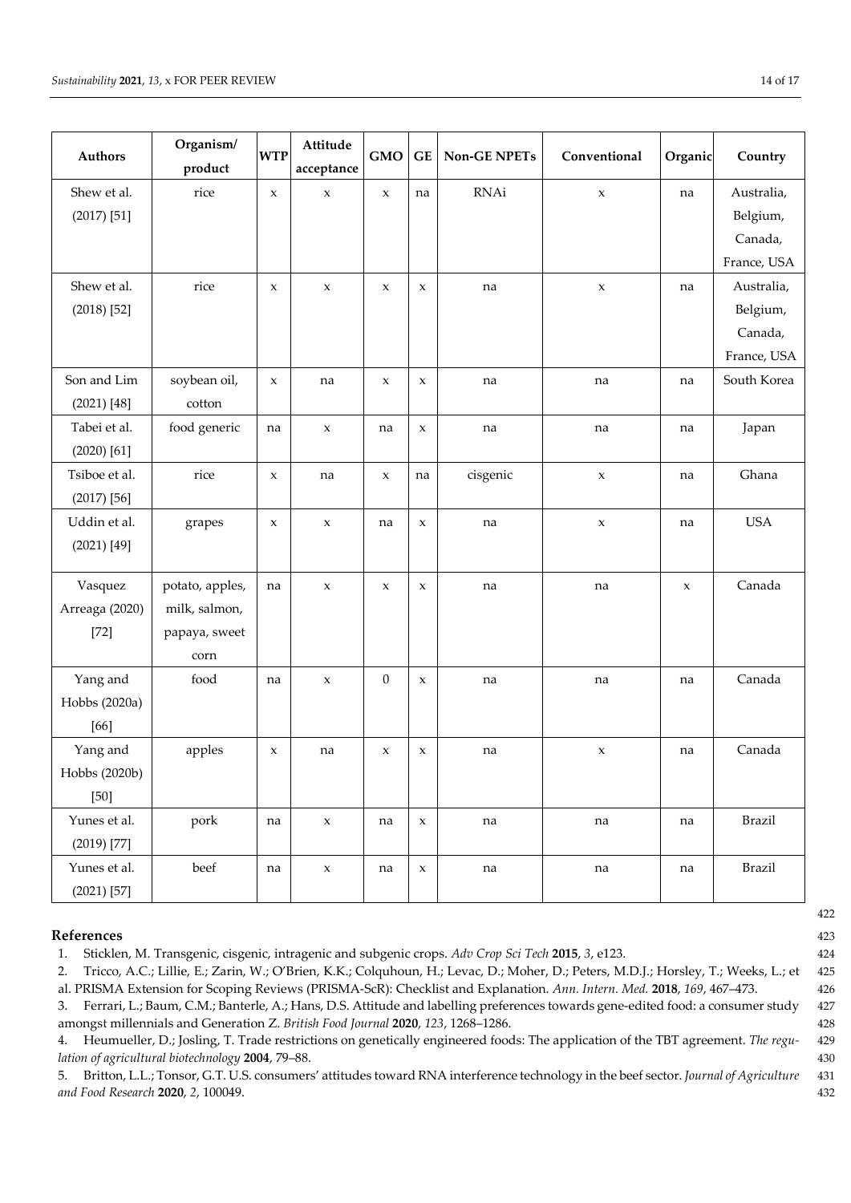| Authors        | Organism/       | <b>WTP</b>  | Attitude<br>acceptance | <b>GMO</b>       | GE          | <b>Non-GE NPETs</b> | Conventional | Organic     | Country       |
|----------------|-----------------|-------------|------------------------|------------------|-------------|---------------------|--------------|-------------|---------------|
|                | product         |             |                        |                  |             |                     |              |             |               |
| Shew et al.    | rice            | X           | $\mathsf X$            | $\mathbf x$      | na          | <b>RNAi</b>         | $\mathbf x$  | na          | Australia,    |
| $(2017)$ [51]  |                 |             |                        |                  |             |                     |              |             | Belgium,      |
|                |                 |             |                        |                  |             |                     |              |             | Canada,       |
|                |                 |             |                        |                  |             |                     |              |             | France, USA   |
| Shew et al.    | rice            | X           | $\mathsf X$            | $\mathsf X$      | $\mathsf X$ | na                  | $\mathsf X$  | na          | Australia,    |
| $(2018)$ [52]  |                 |             |                        |                  |             |                     |              |             | Belgium,      |
|                |                 |             |                        |                  |             |                     |              |             | Canada,       |
|                |                 |             |                        |                  |             |                     |              |             | France, USA   |
| Son and Lim    | soybean oil,    | X           | na                     | $\mathbf x$      | $\mathsf X$ | na                  | na           | na          | South Korea   |
| $(2021)$ [48]  | cotton          |             |                        |                  |             |                     |              |             |               |
| Tabei et al.   | food generic    | na          | $\mathbf x$            | na               | $\mathsf X$ | na                  | na           | na          | Japan         |
| $(2020)$ [61]  |                 |             |                        |                  |             |                     |              |             |               |
| Tsiboe et al.  | rice            | X           | na                     | $\mathbf x$      | na          | cisgenic            | $\mathbf x$  | na          | Ghana         |
| $(2017)$ [56]  |                 |             |                        |                  |             |                     |              |             |               |
| Uddin et al.   | grapes          | $\mathsf X$ | $\mathsf X$            | na               | $\mathsf X$ | na                  | $\mathbf x$  | na          | <b>USA</b>    |
| $(2021)$ [49]  |                 |             |                        |                  |             |                     |              |             |               |
|                |                 |             |                        |                  |             |                     |              |             |               |
| Vasquez        | potato, apples, | na          | $\mathsf X$            | $\mathbf x$      | $\mathsf X$ | na                  | na           | $\mathsf X$ | Canada        |
| Arreaga (2020) | milk, salmon,   |             |                        |                  |             |                     |              |             |               |
| $[72]$         | papaya, sweet   |             |                        |                  |             |                     |              |             |               |
|                | corn            |             |                        |                  |             |                     |              |             |               |
| Yang and       | food            | na          | $\mathsf X$            | $\boldsymbol{0}$ | $\mathsf X$ | na                  | na           | na          | Canada        |
| Hobbs (2020a)  |                 |             |                        |                  |             |                     |              |             |               |
| $[66]$         |                 |             |                        |                  |             |                     |              |             |               |
| Yang and       | apples          | X           | na                     | X                | X           | na                  | $\mathsf X$  | na          | Canada        |
| Hobbs (2020b)  |                 |             |                        |                  |             |                     |              |             |               |
| $[50]$         |                 |             |                        |                  |             |                     |              |             |               |
| Yunes et al.   | pork            | na          | $\mathbf x$            | na               | $\mathsf X$ | na                  | na           | na          | <b>Brazil</b> |
| $(2019)$ [77]  |                 |             |                        |                  |             |                     |              |             |               |
| Yunes et al.   | beef            | na          | $\mathsf X$            | na               | $\mathsf X$ | na                  | na           | na          | <b>Brazil</b> |
| $(2021)$ [57]  |                 |             |                        |                  |             |                     |              |             |               |

## **References** 423

1. Sticklen, M. Transgenic, cisgenic, intragenic and subgenic crops. *Adv Crop Sci Tech* **2015**, *3*, e123. 424

2. Tricco, A.C.; Lillie, E.; Zarin, W.; O'Brien, K.K.; Colquhoun, H.; Levac, D.; Moher, D.; Peters, M.D.J.; Horsley, T.; Weeks, L.; et 425

al. PRISMA Extension for Scoping Reviews (PRISMA-ScR): Checklist and Explanation. *Ann. Intern. Med.* **2018**, *169*, 467–473. 426 3. Ferrari, L.; Baum, C.M.; Banterle, A.; Hans, D.S. Attitude and labelling preferences towards gene-edited food: a consumer study 427

amongst millennials and Generation Z. *British Food Journal* **2020**, *123*, 1268–1286. 428

4. Heumueller, D.; Josling, T. Trade restrictions on genetically engineered foods: The application of the TBT agreement. *The regu-* 429 *lation of agricultural biotechnology* **2004**, 79–88. 430

5. Britton, L.L.; Tonsor, G.T. U.S. consumers' attitudes toward RNA interference technology in the beef sector. *Journal of Agriculture* 431 *and Food Research* **2020**, *2*, 100049. 432

422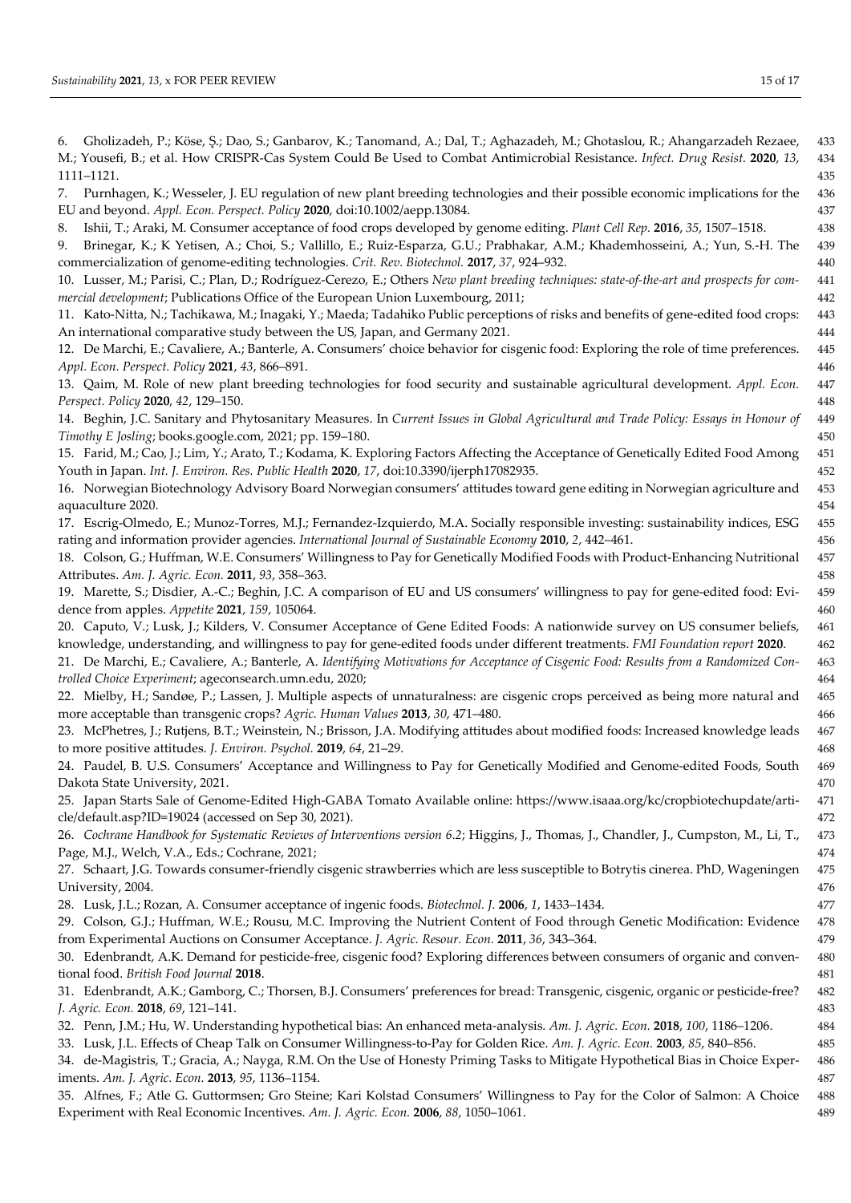6. Gholizadeh, P.; Köse, Ş.; Dao, S.; Ganbarov, K.; Tanomand, A.; Dal, T.; Aghazadeh, M.; Ghotaslou, R.; Ahangarzadeh Rezaee, 433 M.; Yousefi, B.; et al. How CRISPR-Cas System Could Be Used to Combat Antimicrobial Resistance. *Infect. Drug Resist.* **2020**, *13*, 434 1111–1121. 435

7. Purnhagen, K.; Wesseler, J. EU regulation of new plant breeding technologies and their possible economic implications for the 436 EU and beyond. *Appl. Econ. Perspect. Policy* **2020**, doi:10.1002/aepp.13084. 437

- 8. Ishii, T.; Araki, M. Consumer acceptance of food crops developed by genome editing. *Plant Cell Rep.* **2016**, *35*, 1507–1518. 438
- 9. Brinegar, K.; K Yetisen, A.; Choi, S.; Vallillo, E.; Ruiz-Esparza, G.U.; Prabhakar, A.M.; Khademhosseini, A.; Yun, S.-H. The 439 commercialization of genome-editing technologies. *Crit. Rev. Biotechnol.* **2017**, *37*, 924–932. 440
- 10. Lusser, M.; Parisi, C.; Plan, D.; Rodríguez-Cerezo, E.; Others *New plant breeding techniques: state-of-the-art and prospects for com-* 441 *mercial development*; Publications Office of the European Union Luxembourg, 2011; 442
- 11. Kato-Nitta, N.; Tachikawa, M.; Inagaki, Y.; Maeda; Tadahiko Public perceptions of risks and benefits of gene-edited food crops: 443 An international comparative study between the US, Japan, and Germany 2021. 444
- 12. De Marchi, E.; Cavaliere, A.; Banterle, A. Consumers' choice behavior for cisgenic food: Exploring the role of time preferences. 445 *Appl. Econ. Perspect. Policy* **2021**, *43*, 866–891. 446
- 13. Qaim, M. Role of new plant breeding technologies for food security and sustainable agricultural development. *Appl. Econ.* 447 *Perspect. Policy* **2020**, *42*, 129–150. 448
- 14. Beghin, J.C. Sanitary and Phytosanitary Measures. In *Current Issues in Global Agricultural and Trade Policy: Essays in Honour of* 449 *Timothy E Josling*; books.google.com, 2021; pp. 159–180. 450
- 15. Farid, M.; Cao, J.; Lim, Y.; Arato, T.; Kodama, K. Exploring Factors Affecting the Acceptance of Genetically Edited Food Among 451 Youth in Japan. *Int. J. Environ. Res. Public Health* **2020**, *17*, doi:10.3390/ijerph17082935. 452
- 16. Norwegian Biotechnology Advisory Board Norwegian consumers' attitudes toward gene editing in Norwegian agriculture and 453 aquaculture 2020. 454
- 17. Escrig-Olmedo, E.; Munoz-Torres, M.J.; Fernandez-Izquierdo, M.A. Socially responsible investing: sustainability indices, ESG 455 rating and information provider agencies. *International Journal of Sustainable Economy* **2010**, *2*, 442–461. 456

18. Colson, G.; Huffman, W.E. Consumers' Willingness to Pay for Genetically Modified Foods with Product-Enhancing Nutritional 457 Attributes. *Am. J. Agric. Econ.* **2011**, *93*, 358–363. 458

- 19. Marette, S.; Disdier, A.-C.; Beghin, J.C. A comparison of EU and US consumers' willingness to pay for gene-edited food: Evi- 459 dence from apples. *Appetite* **2021**, *159*, 105064. 460
- 20. Caputo, V.; Lusk, J.; Kilders, V. Consumer Acceptance of Gene Edited Foods: A nationwide survey on US consumer beliefs, 461 knowledge, understanding, and willingness to pay for gene-edited foods under different treatments. *FMI Foundation report* **2020**. 462
- 21. De Marchi, E.; Cavaliere, A.; Banterle, A. *Identifying Motivations for Acceptance of Cisgenic Food: Results from a Randomized Con-* 463 *trolled Choice Experiment*; ageconsearch.umn.edu, 2020; 464
- 22. Mielby, H.; Sandøe, P.; Lassen, J. Multiple aspects of unnaturalness: are cisgenic crops perceived as being more natural and 465 more acceptable than transgenic crops? *Agric. Human Values* **2013**, *30*, 471–480. 466
- 23. McPhetres, J.; Rutjens, B.T.; Weinstein, N.; Brisson, J.A. Modifying attitudes about modified foods: Increased knowledge leads 467 to more positive attitudes. *J. Environ. Psychol.* **2019**, *64*, 21–29. 468
- 24. Paudel, B. U.S. Consumers' Acceptance and Willingness to Pay for Genetically Modified and Genome-edited Foods, South 469 Dakota State University, 2021. 470
- 25. Japan Starts Sale of Genome-Edited High-GABA Tomato Available online: https://www.isaaa.org/kc/cropbiotechupdate/arti- 471 cle/default.asp?ID=19024 (accessed on Sep 30, 2021). 472
- 26. *Cochrane Handbook for Systematic Reviews of Interventions version 6.2*; Higgins, J., Thomas, J., Chandler, J., Cumpston, M., Li, T., 473 Page, M.J., Welch, V.A., Eds.; Cochrane, 2021; 474
- 27. Schaart, J.G. Towards consumer-friendly cisgenic strawberries which are less susceptible to Botrytis cinerea. PhD, Wageningen 475 University, 2004.  $476$
- 28. Lusk, J.L.; Rozan, A. Consumer acceptance of ingenic foods. *Biotechnol. J.* **2006**, *1*, 1433–1434. 477
- 29. Colson, G.J.; Huffman, W.E.; Rousu, M.C. Improving the Nutrient Content of Food through Genetic Modification: Evidence 478 from Experimental Auctions on Consumer Acceptance. *J. Agric. Resour. Econ.* **2011**, *36*, 343–364. 479
- 30. Edenbrandt, A.K. Demand for pesticide-free, cisgenic food? Exploring differences between consumers of organic and conven- 480 tional food. *British Food Journal* **2018**. 481
- 31. Edenbrandt, A.K.; Gamborg, C.; Thorsen, B.J. Consumers' preferences for bread: Transgenic, cisgenic, organic or pesticide-free? 482 *J. Agric. Econ.* **2018**, *69*, 121–141. 483
- 32. Penn, J.M.; Hu, W. Understanding hypothetical bias: An enhanced meta-analysis. *Am. J. Agric. Econ.* **2018**, *100*, 1186–1206. 484
- 33. Lusk, J.L. Effects of Cheap Talk on Consumer Willingness-to-Pay for Golden Rice. *Am. J. Agric. Econ.* **2003**, *85*, 840–856. 485
- 34. de-Magistris, T.; Gracia, A.; Nayga, R.M. On the Use of Honesty Priming Tasks to Mitigate Hypothetical Bias in Choice Exper- 486 iments. *Am. J. Agric. Econ.* **2013**, *95*, 1136–1154. 487
- 35. Alfnes, F.; Atle G. Guttormsen; Gro Steine; Kari Kolstad Consumers' Willingness to Pay for the Color of Salmon: A Choice 488 Experiment with Real Economic Incentives. *Am. J. Agric. Econ.* **2006**, *88*, 1050–1061. 489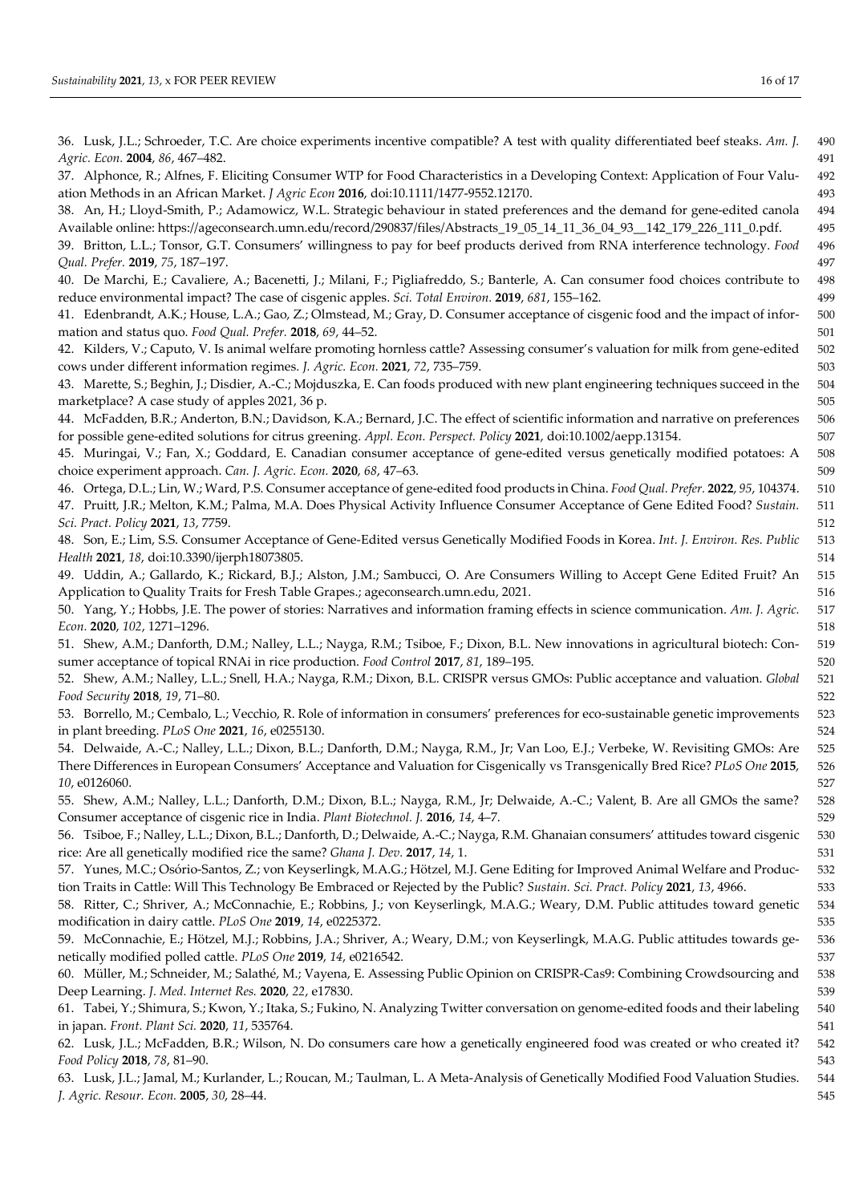36. Lusk, J.L.; Schroeder, T.C. Are choice experiments incentive compatible? A test with quality differentiated beef steaks. *Am. J.* 490 *Agric. Econ.* **2004**, *86*, 467–482. 491 37. Alphonce, R.; Alfnes, F. Eliciting Consumer WTP for Food Characteristics in a Developing Context: Application of Four Valu- 492

ation Methods in an African Market. *J Agric Econ* **2016**, doi:10.1111/1477-9552.12170. 493 38. An, H.; Lloyd-Smith, P.; Adamowicz, W.L. Strategic behaviour in stated preferences and the demand for gene-edited canola 494

Available online: https://ageconsearch.umn.edu/record/290837/files/Abstracts\_19\_05\_14\_11\_36\_04\_93\_\_142\_179\_226\_111\_0.pdf. 495 39. Britton, L.L.; Tonsor, G.T. Consumers' willingness to pay for beef products derived from RNA interference technology. *Food* 496

*Qual. Prefer.* **2019**, *75*, 187–197. 497

40. De Marchi, E.; Cavaliere, A.; Bacenetti, J.; Milani, F.; Pigliafreddo, S.; Banterle, A. Can consumer food choices contribute to 498 reduce environmental impact? The case of cisgenic apples. *Sci. Total Environ.* **2019**, *681*, 155–162. 499

41. Edenbrandt, A.K.; House, L.A.; Gao, Z.; Olmstead, M.; Gray, D. Consumer acceptance of cisgenic food and the impact of infor- 500 mation and status quo. *Food Qual. Prefer.* **2018**, *69*, 44–52. 501

42. Kilders, V.; Caputo, V. Is animal welfare promoting hornless cattle? Assessing consumer's valuation for milk from gene-edited 502 cows under different information regimes. *J. Agric. Econ.* **2021**, *72*, 735–759. 503

43. Marette, S.; Beghin, J.; Disdier, A.-C.; Mojduszka, E. Can foods produced with new plant engineering techniques succeed in the 504 marketplace? A case study of apples 2021, 36 p.  $\frac{505}{205}$ 

44. McFadden, B.R.; Anderton, B.N.; Davidson, K.A.; Bernard, J.C. The effect of scientific information and narrative on preferences 506 for possible gene-edited solutions for citrus greening. *Appl. Econ. Perspect. Policy* **2021**, doi:10.1002/aepp.13154. 507

45. Muringai, V.; Fan, X.; Goddard, E. Canadian consumer acceptance of gene-edited versus genetically modified potatoes: A 508 choice experiment approach. *Can. J. Agric. Econ.* **2020**, *68*, 47–63. 509

46. Ortega, D.L.; Lin, W.; Ward, P.S. Consumer acceptance of gene-edited food products in China. *Food Qual. Prefer.* **2022**, *95*, 104374. 510

47. Pruitt, J.R.; Melton, K.M.; Palma, M.A. Does Physical Activity Influence Consumer Acceptance of Gene Edited Food? *Sustain.* 511 *Sci. Pract. Policy* **2021**, *13*, 7759. 512

48. Son, E.; Lim, S.S. Consumer Acceptance of Gene-Edited versus Genetically Modified Foods in Korea. *Int. J. Environ. Res. Public* 513 *Health* **2021**, *18*, doi:10.3390/ijerph18073805. 514

49. Uddin, A.; Gallardo, K.; Rickard, B.J.; Alston, J.M.; Sambucci, O. Are Consumers Willing to Accept Gene Edited Fruit? An 515 Application to Quality Traits for Fresh Table Grapes.; ageconsearch.umn.edu, 2021. 516

50. Yang, Y.; Hobbs, J.E. The power of stories: Narratives and information framing effects in science communication. *Am. J. Agric.* 517 *Econ.* **2020**, *102*, 1271–1296. 518

51. Shew, A.M.; Danforth, D.M.; Nalley, L.L.; Nayga, R.M.; Tsiboe, F.; Dixon, B.L. New innovations in agricultural biotech: Con- 519 sumer acceptance of topical RNAi in rice production. *Food Control* **2017**, *81*, 189–195. 520

52. Shew, A.M.; Nalley, L.L.; Snell, H.A.; Nayga, R.M.; Dixon, B.L. CRISPR versus GMOs: Public acceptance and valuation. *Global* 521 *Food Security* **2018**, *19*, 71–80. 522

53. Borrello, M.; Cembalo, L.; Vecchio, R. Role of information in consumers' preferences for eco-sustainable genetic improvements 523 in plant breeding. *PLoS One* **2021**, *16*, e0255130. 524

54. Delwaide, A.-C.; Nalley, L.L.; Dixon, B.L.; Danforth, D.M.; Nayga, R.M., Jr; Van Loo, E.J.; Verbeke, W. Revisiting GMOs: Are 525 There Differences in European Consumers' Acceptance and Valuation for Cisgenically vs Transgenically Bred Rice? *PLoS One* **2015**, 526 *10*, e0126060. 527

55. Shew, A.M.; Nalley, L.L.; Danforth, D.M.; Dixon, B.L.; Nayga, R.M., Jr; Delwaide, A.-C.; Valent, B. Are all GMOs the same? 528 Consumer acceptance of cisgenic rice in India. *Plant Biotechnol. J.* **2016**, *14*, 4–7. 529

56. Tsiboe, F.; Nalley, L.L.; Dixon, B.L.; Danforth, D.; Delwaide, A.-C.; Nayga, R.M. Ghanaian consumers' attitudes toward cisgenic 530 rice: Are all genetically modified rice the same? *Ghana J. Dev.* **2017**, *14*, 1. 531

57. Yunes, M.C.; Osório-Santos, Z.; von Keyserlingk, M.A.G.; Hötzel, M.J. Gene Editing for Improved Animal Welfare and Produc- 532 tion Traits in Cattle: Will This Technology Be Embraced or Rejected by the Public? *Sustain. Sci. Pract. Policy* **2021**, *13*, 4966. 533

58. Ritter, C.; Shriver, A.; McConnachie, E.; Robbins, J.; von Keyserlingk, M.A.G.; Weary, D.M. Public attitudes toward genetic 534 modification in dairy cattle. *PLoS One* **2019**, *14*, e0225372. 535

59. McConnachie, E.; Hötzel, M.J.; Robbins, J.A.; Shriver, A.; Weary, D.M.; von Keyserlingk, M.A.G. Public attitudes towards ge- 536 netically modified polled cattle. *PLoS One* **2019**, *14*, e0216542. 537

60. Müller, M.; Schneider, M.; Salathé, M.; Vayena, E. Assessing Public Opinion on CRISPR-Cas9: Combining Crowdsourcing and 538 Deep Learning. *J. Med. Internet Res.* **2020**, *22*, e17830. 539

61. Tabei, Y.; Shimura, S.; Kwon, Y.; Itaka, S.; Fukino, N. Analyzing Twitter conversation on genome-edited foods and their labeling 540 in japan. *Front. Plant Sci.* **2020**, *11*, 535764. 541

62. Lusk, J.L.; McFadden, B.R.; Wilson, N. Do consumers care how a genetically engineered food was created or who created it? 542 *Food Policy* **2018**, *78*, 81–90. 543

63. Lusk, J.L.; Jamal, M.; Kurlander, L.; Roucan, M.; Taulman, L. A Meta-Analysis of Genetically Modified Food Valuation Studies. 544 *J. Agric. Resour. Econ.* **2005**, *30*, 28–44. 545